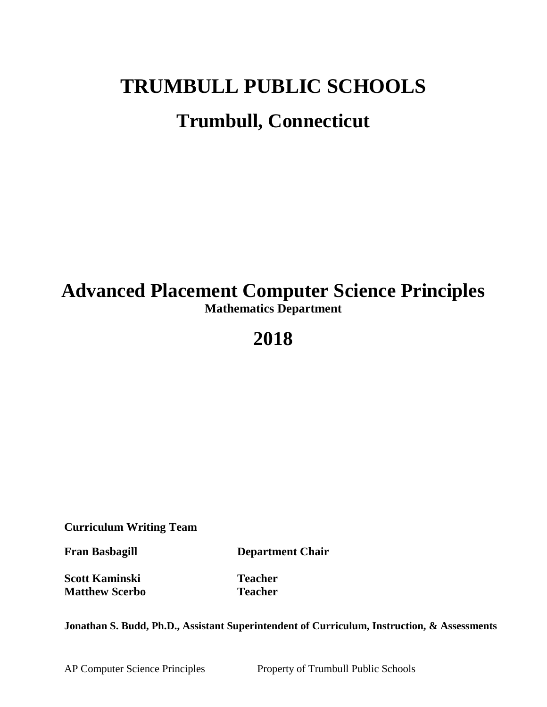# **TRUMBULL PUBLIC SCHOOLS Trumbull, Connecticut**

## **Advanced Placement Computer Science Principles Mathematics Department**

## **2018**

**Curriculum Writing Team**

**Fran Basbagill Department Chair**

**Scott Kaminski Teacher Matthew Scerbo Teacher**

**Jonathan S. Budd, Ph.D., Assistant Superintendent of Curriculum, Instruction, & Assessments**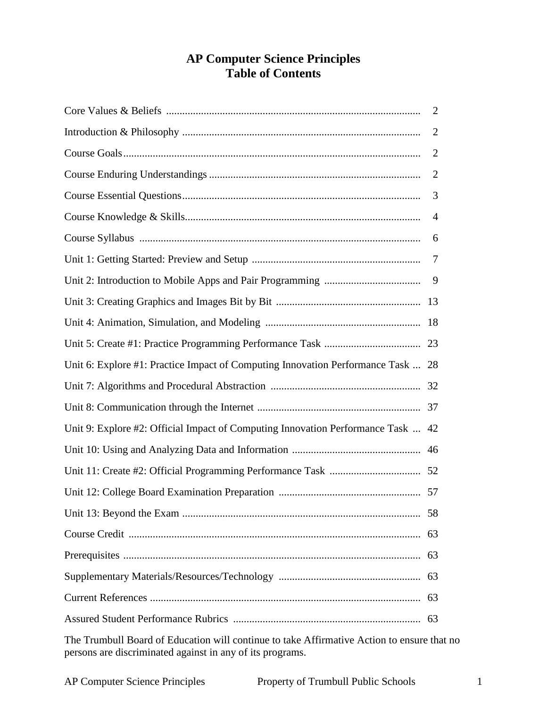## **AP Computer Science Principles Table of Contents**

|                                                                                  | $\overline{2}$ |
|----------------------------------------------------------------------------------|----------------|
|                                                                                  | $\overline{2}$ |
|                                                                                  | $\overline{2}$ |
|                                                                                  | $\overline{2}$ |
|                                                                                  | 3              |
|                                                                                  | $\overline{4}$ |
|                                                                                  | 6              |
|                                                                                  | 7              |
|                                                                                  |                |
|                                                                                  |                |
|                                                                                  |                |
|                                                                                  |                |
| Unit 6: Explore #1: Practice Impact of Computing Innovation Performance Task  28 |                |
|                                                                                  |                |
|                                                                                  |                |
| Unit 9: Explore #2: Official Impact of Computing Innovation Performance Task  42 |                |
|                                                                                  |                |
|                                                                                  |                |
|                                                                                  |                |
|                                                                                  | 58             |
|                                                                                  | 63             |
|                                                                                  | 63             |
|                                                                                  |                |
|                                                                                  |                |
|                                                                                  | 63             |

The Trumbull Board of Education will continue to take Affirmative Action to ensure that no persons are discriminated against in any of its programs.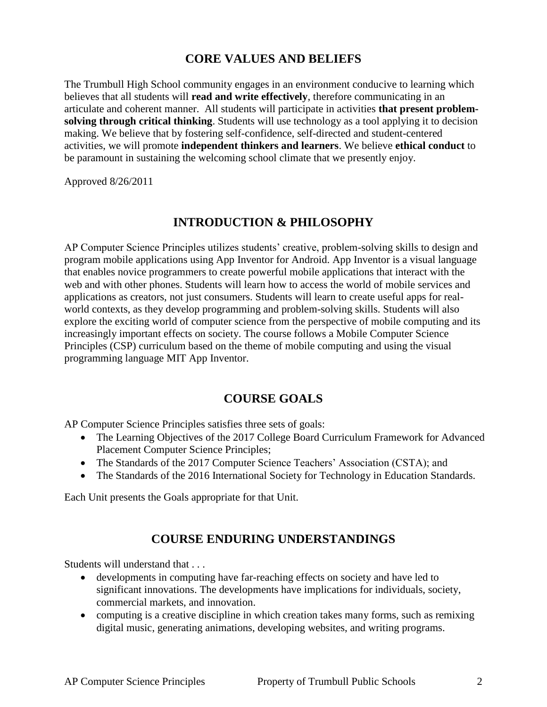## **CORE VALUES AND BELIEFS**

The Trumbull High School community engages in an environment conducive to learning which believes that all students will **read and write effectively**, therefore communicating in an articulate and coherent manner. All students will participate in activities **that present problemsolving through critical thinking**. Students will use technology as a tool applying it to decision making. We believe that by fostering self-confidence, self-directed and student-centered activities, we will promote **independent thinkers and learners**. We believe **ethical conduct** to be paramount in sustaining the welcoming school climate that we presently enjoy.

Approved 8/26/2011

## **INTRODUCTION & PHILOSOPHY**

AP Computer Science Principles utilizes students' creative, problem-solving skills to design and program mobile applications using App Inventor for Android. App Inventor is a visual language that enables novice programmers to create powerful mobile applications that interact with the web and with other phones. Students will learn how to access the world of mobile services and applications as creators, not just consumers. Students will learn to create useful apps for realworld contexts, as they develop programming and problem-solving skills. Students will also explore the exciting world of computer science from the perspective of mobile computing and its increasingly important effects on society. The course follows a Mobile Computer Science Principles (CSP) curriculum based on the theme of mobile computing and using the visual programming language MIT App Inventor.

## **COURSE GOALS**

AP Computer Science Principles satisfies three sets of goals:

- The Learning Objectives of the 2017 College Board Curriculum Framework for Advanced Placement Computer Science Principles;
- The Standards of the 2017 Computer Science Teachers' Association (CSTA); and
- The Standards of the 2016 International Society for Technology in Education Standards.

Each Unit presents the Goals appropriate for that Unit.

## **COURSE ENDURING UNDERSTANDINGS**

Students will understand that . . .

- developments in computing have far-reaching effects on society and have led to significant innovations. The developments have implications for individuals, society, commercial markets, and innovation.
- computing is a creative discipline in which creation takes many forms, such as remixing digital music, generating animations, developing websites, and writing programs.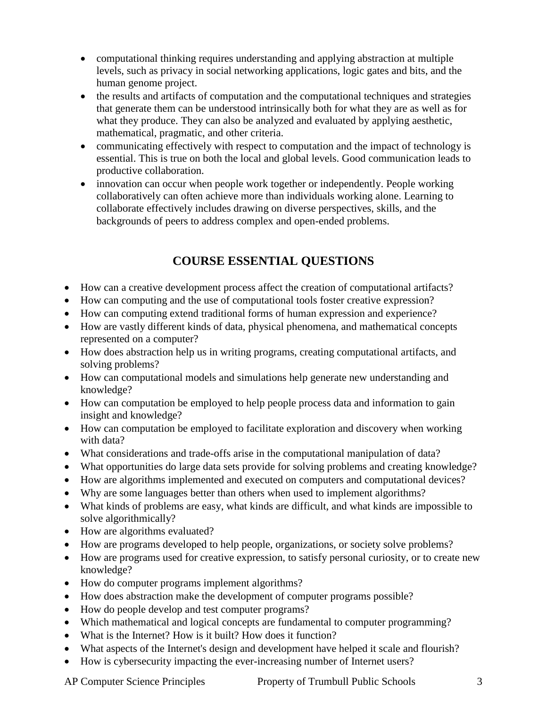- computational thinking requires understanding and applying abstraction at multiple levels, such as privacy in social networking applications, logic gates and bits, and the human genome project.
- the results and artifacts of computation and the computational techniques and strategies that generate them can be understood intrinsically both for what they are as well as for what they produce. They can also be analyzed and evaluated by applying aesthetic, mathematical, pragmatic, and other criteria.
- communicating effectively with respect to computation and the impact of technology is essential. This is true on both the local and global levels. Good communication leads to productive collaboration.
- innovation can occur when people work together or independently. People working collaboratively can often achieve more than individuals working alone. Learning to collaborate effectively includes drawing on diverse perspectives, skills, and the backgrounds of peers to address complex and open-ended problems.

## **COURSE ESSENTIAL QUESTIONS**

- How can a creative development process affect the creation of computational artifacts?
- How can computing and the use of computational tools foster creative expression?
- How can computing extend traditional forms of human expression and experience?
- How are vastly different kinds of data, physical phenomena, and mathematical concepts represented on a computer?
- How does abstraction help us in writing programs, creating computational artifacts, and solving problems?
- How can computational models and simulations help generate new understanding and knowledge?
- How can computation be employed to help people process data and information to gain insight and knowledge?
- How can computation be employed to facilitate exploration and discovery when working with data?
- What considerations and trade-offs arise in the computational manipulation of data?
- What opportunities do large data sets provide for solving problems and creating knowledge?
- How are algorithms implemented and executed on computers and computational devices?
- Why are some languages better than others when used to implement algorithms?
- What kinds of problems are easy, what kinds are difficult, and what kinds are impossible to solve algorithmically?
- How are algorithms evaluated?
- How are programs developed to help people, organizations, or society solve problems?
- How are programs used for creative expression, to satisfy personal curiosity, or to create new knowledge?
- How do computer programs implement algorithms?
- How does abstraction make the development of computer programs possible?
- How do people develop and test computer programs?
- Which mathematical and logical concepts are fundamental to computer programming?
- What is the Internet? How is it built? How does it function?
- What aspects of the Internet's design and development have helped it scale and flourish?
- How is cybersecurity impacting the ever-increasing number of Internet users?

AP Computer Science Principles Property of Trumbull Public Schools 3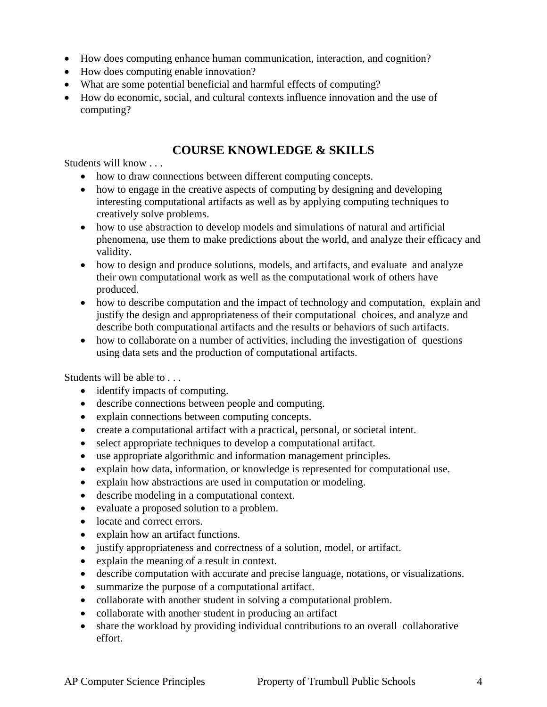- How does computing enhance human communication, interaction, and cognition?
- How does computing enable innovation?
- What are some potential beneficial and harmful effects of computing?
- How do economic, social, and cultural contexts influence innovation and the use of computing?

## **COURSE KNOWLEDGE & SKILLS**

Students will know . . .

- how to draw connections between different computing concepts.
- how to engage in the creative aspects of computing by designing and developing interesting computational artifacts as well as by applying computing techniques to creatively solve problems.
- how to use abstraction to develop models and simulations of natural and artificial phenomena, use them to make predictions about the world, and analyze their efficacy and validity.
- how to design and produce solutions, models, and artifacts, and evaluate and analyze their own computational work as well as the computational work of others have produced.
- how to describe computation and the impact of technology and computation, explain and justify the design and appropriateness of their computational choices, and analyze and describe both computational artifacts and the results or behaviors of such artifacts.
- how to collaborate on a number of activities, including the investigation of questions using data sets and the production of computational artifacts.

Students will be able to . . .

- identify impacts of computing.
- describe connections between people and computing.
- explain connections between computing concepts.
- create a computational artifact with a practical, personal, or societal intent.
- select appropriate techniques to develop a computational artifact.
- use appropriate algorithmic and information management principles.
- explain how data, information, or knowledge is represented for computational use.
- explain how abstractions are used in computation or modeling.
- describe modeling in a computational context.
- evaluate a proposed solution to a problem.
- locate and correct errors.
- explain how an artifact functions.
- justify appropriateness and correctness of a solution, model, or artifact.
- explain the meaning of a result in context.
- describe computation with accurate and precise language, notations, or visualizations.
- summarize the purpose of a computational artifact.
- collaborate with another student in solving a computational problem.
- collaborate with another student in producing an artifact
- share the workload by providing individual contributions to an overall collaborative effort.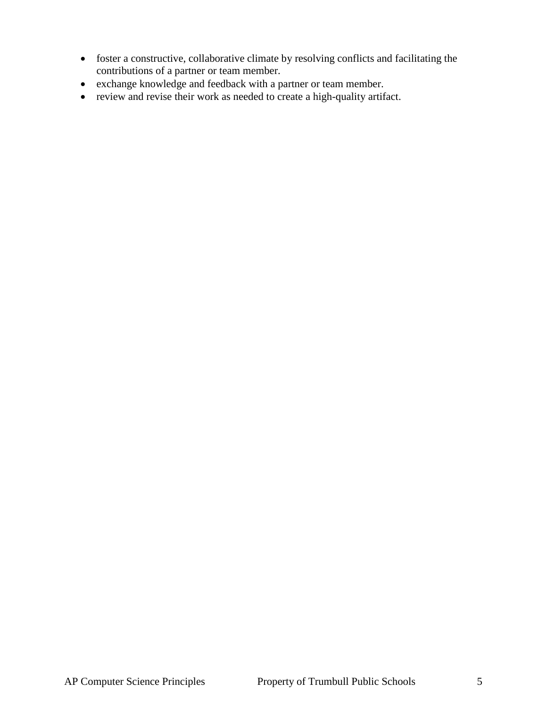- foster a constructive, collaborative climate by resolving conflicts and facilitating the contributions of a partner or team member.
- exchange knowledge and feedback with a partner or team member.
- review and revise their work as needed to create a high-quality artifact.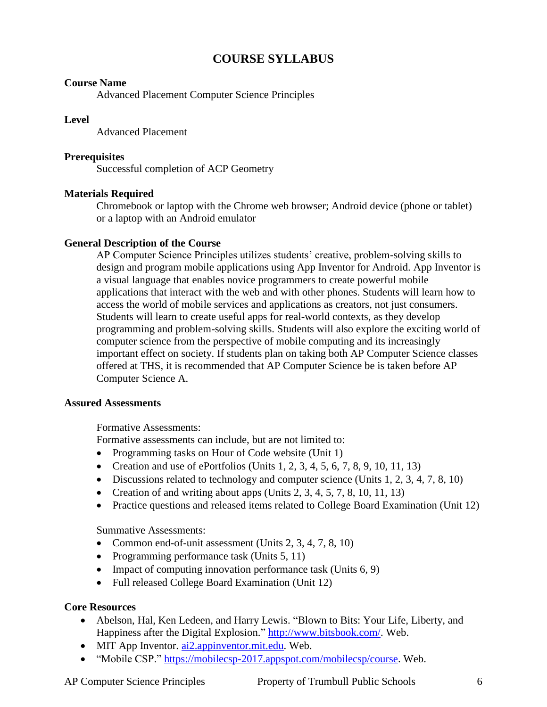## **COURSE SYLLABUS**

#### **Course Name**

Advanced Placement Computer Science Principles

#### **Level**

Advanced Placement

#### **Prerequisites**

Successful completion of ACP Geometry

#### **Materials Required**

Chromebook or laptop with the Chrome web browser; Android device (phone or tablet) or a laptop with an Android emulator

#### **General Description of the Course**

AP Computer Science Principles utilizes students' creative, problem-solving skills to design and program mobile applications using App Inventor for Android. App Inventor is a visual language that enables novice programmers to create powerful mobile applications that interact with the web and with other phones. Students will learn how to access the world of mobile services and applications as creators, not just consumers. Students will learn to create useful apps for real-world contexts, as they develop programming and problem-solving skills. Students will also explore the exciting world of computer science from the perspective of mobile computing and its increasingly important effect on society. If students plan on taking both AP Computer Science classes offered at THS, it is recommended that AP Computer Science be is taken before AP Computer Science A.

#### **Assured Assessments**

Formative Assessments:

Formative assessments can include, but are not limited to:

- Programming tasks on Hour of Code website (Unit 1)
- Creation and use of ePortfolios (Units  $1, 2, 3, 4, 5, 6, 7, 8, 9, 10, 11, 13$ )
- $\bullet$  Discussions related to technology and computer science (Units 1, 2, 3, 4, 7, 8, 10)
- Creation of and writing about apps (Units  $2, 3, 4, 5, 7, 8, 10, 11, 13$ )
- Practice questions and released items related to College Board Examination (Unit 12)

Summative Assessments:

- Common end-of-unit assessment (Units  $2, 3, 4, 7, 8, 10$ )
- Programming performance task (Units  $5, 11$ )
- Impact of computing innovation performance task (Units 6, 9)
- Full released College Board Examination (Unit 12)

#### **Core Resources**

- Abelson, Hal, Ken Ledeen, and Harry Lewis. "Blown to Bits: Your Life, Liberty, and Happiness after the Digital Explosion." [http://www.bitsbook.com/.](http://www.bitsbook.com/) Web.
- MIT App Inventor. [ai2.appinventor.mit.edu.](ai2.appinventor.mit.edu) Web.
- "Mobile CSP." [https://mobilecsp-2017.appspot.com/mobilecsp/course.](https://mobilecsp-2017.appspot.com/mobilecsp/course) Web.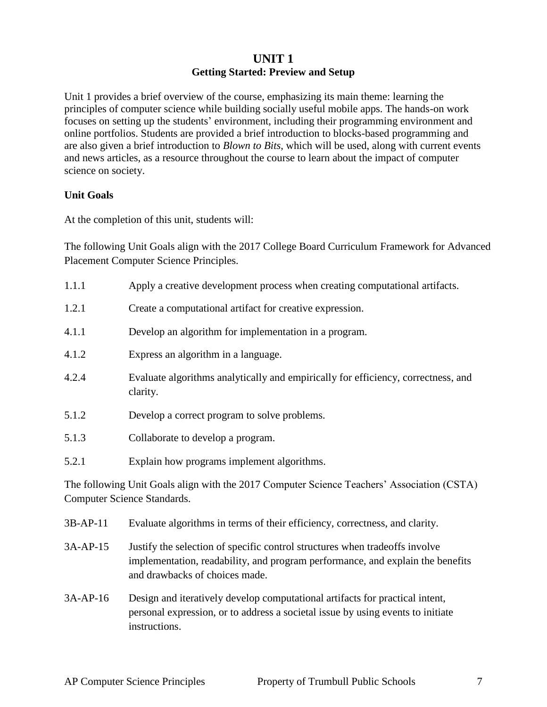### **UNIT 1 Getting Started: Preview and Setup**

Unit 1 provides a brief overview of the course, emphasizing its main theme: learning the principles of computer science while building socially useful mobile apps. The hands-on work focuses on setting up the students' environment, including their programming environment and online portfolios. Students are provided a brief introduction to blocks-based programming and are also given a brief introduction to *Blown to Bits*, which will be used, along with current events and news articles, as a resource throughout the course to learn about the impact of computer science on society.

#### **Unit Goals**

At the completion of this unit, students will:

The following Unit Goals align with the 2017 College Board Curriculum Framework for Advanced Placement Computer Science Principles.

| 1.1.1 | Apply a creative development process when creating computational artifacts.                   |
|-------|-----------------------------------------------------------------------------------------------|
| 1.2.1 | Create a computational artifact for creative expression.                                      |
| 4.1.1 | Develop an algorithm for implementation in a program.                                         |
| 4.1.2 | Express an algorithm in a language.                                                           |
| 4.2.4 | Evaluate algorithms analytically and empirically for efficiency, correctness, and<br>clarity. |
| 5.1.2 | Develop a correct program to solve problems.                                                  |
| 5.1.3 | Collaborate to develop a program.                                                             |
| 5.2.1 | Explain how programs implement algorithms.                                                    |
|       |                                                                                               |

The following Unit Goals align with the 2017 Computer Science Teachers' Association (CSTA) Computer Science Standards.

- 3B-AP-11 Evaluate algorithms in terms of their efficiency, correctness, and clarity.
- 3A-AP-15 Justify the selection of specific control structures when tradeoffs involve implementation, readability, and program performance, and explain the benefits and drawbacks of choices made.
- 3A-AP-16 Design and iteratively develop computational artifacts for practical intent, personal expression, or to address a societal issue by using events to initiate instructions.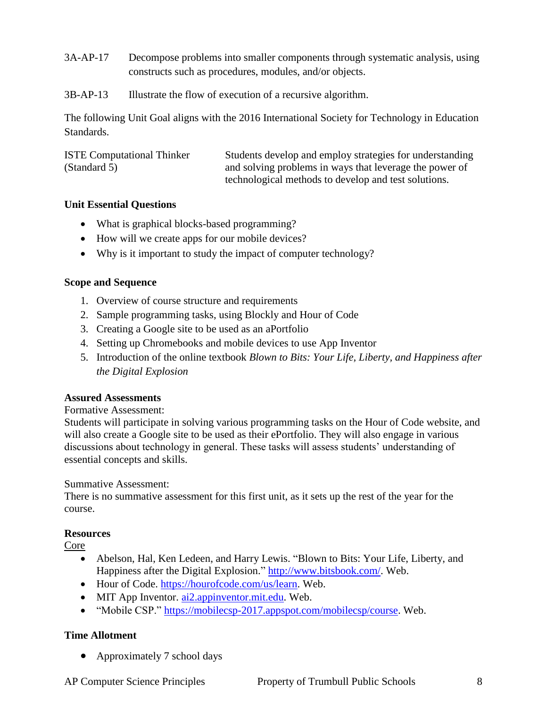- 3A-AP-17 Decompose problems into smaller components through systematic analysis, using constructs such as procedures, modules, and/or objects.
- 3B-AP-13 Illustrate the flow of execution of a recursive algorithm.

The following Unit Goal aligns with the 2016 International Society for Technology in Education Standards.

| <b>ISTE Computational Thinker</b> | Students develop and employ strategies for understanding |
|-----------------------------------|----------------------------------------------------------|
| (Standard 5)                      | and solving problems in ways that leverage the power of  |
|                                   | technological methods to develop and test solutions.     |

#### **Unit Essential Questions**

- What is graphical blocks-based programming?
- How will we create apps for our mobile devices?
- Why is it important to study the impact of computer technology?

#### **Scope and Sequence**

- 1. Overview of course structure and requirements
- 2. Sample programming tasks, using Blockly and Hour of Code
- 3. Creating a Google site to be used as an aPortfolio
- 4. Setting up Chromebooks and mobile devices to use App Inventor
- 5. Introduction of the online textbook *Blown to Bits: Your Life, Liberty, and Happiness after the Digital Explosion*

#### **Assured Assessments**

#### Formative Assessment:

Students will participate in solving various programming tasks on the Hour of Code website, and will also create a Google site to be used as their ePortfolio. They will also engage in various discussions about technology in general. These tasks will assess students' understanding of essential concepts and skills.

#### Summative Assessment:

There is no summative assessment for this first unit, as it sets up the rest of the year for the course.

#### **Resources**

Core

- Abelson, Hal, Ken Ledeen, and Harry Lewis. "Blown to Bits: Your Life, Liberty, and Happiness after the Digital Explosion." [http://www.bitsbook.com/.](http://www.bitsbook.com/) Web.
- Hour of Code. [https://hourofcode.com/us/learn.](https://hourofcode.com/us/learn) Web.
- MIT App Inventor. [ai2.appinventor.mit.edu.](ai2.appinventor.mit.edu) Web.
- "Mobile CSP." [https://mobilecsp-2017.appspot.com/mobilecsp/course.](https://mobilecsp-2017.appspot.com/mobilecsp/course) Web.

#### **Time Allotment**

• Approximately 7 school days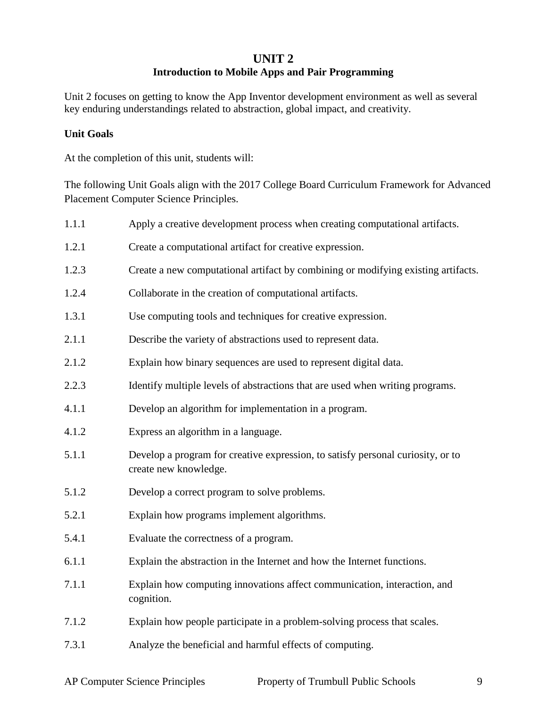#### **UNIT 2**

#### **Introduction to Mobile Apps and Pair Programming**

Unit 2 focuses on getting to know the App Inventor development environment as well as several key enduring understandings related to abstraction, global impact, and creativity.

#### **Unit Goals**

At the completion of this unit, students will:

The following Unit Goals align with the 2017 College Board Curriculum Framework for Advanced Placement Computer Science Principles.

| 1.1.1 | Apply a creative development process when creating computational artifacts.                              |
|-------|----------------------------------------------------------------------------------------------------------|
| 1.2.1 | Create a computational artifact for creative expression.                                                 |
| 1.2.3 | Create a new computational artifact by combining or modifying existing artifacts.                        |
| 1.2.4 | Collaborate in the creation of computational artifacts.                                                  |
| 1.3.1 | Use computing tools and techniques for creative expression.                                              |
| 2.1.1 | Describe the variety of abstractions used to represent data.                                             |
| 2.1.2 | Explain how binary sequences are used to represent digital data.                                         |
| 2.2.3 | Identify multiple levels of abstractions that are used when writing programs.                            |
| 4.1.1 | Develop an algorithm for implementation in a program.                                                    |
| 4.1.2 | Express an algorithm in a language.                                                                      |
| 5.1.1 | Develop a program for creative expression, to satisfy personal curiosity, or to<br>create new knowledge. |
| 5.1.2 | Develop a correct program to solve problems.                                                             |
| 5.2.1 | Explain how programs implement algorithms.                                                               |
| 5.4.1 | Evaluate the correctness of a program.                                                                   |
| 6.1.1 | Explain the abstraction in the Internet and how the Internet functions.                                  |
| 7.1.1 | Explain how computing innovations affect communication, interaction, and<br>cognition.                   |
| 7.1.2 | Explain how people participate in a problem-solving process that scales.                                 |
| 7.3.1 | Analyze the beneficial and harmful effects of computing.                                                 |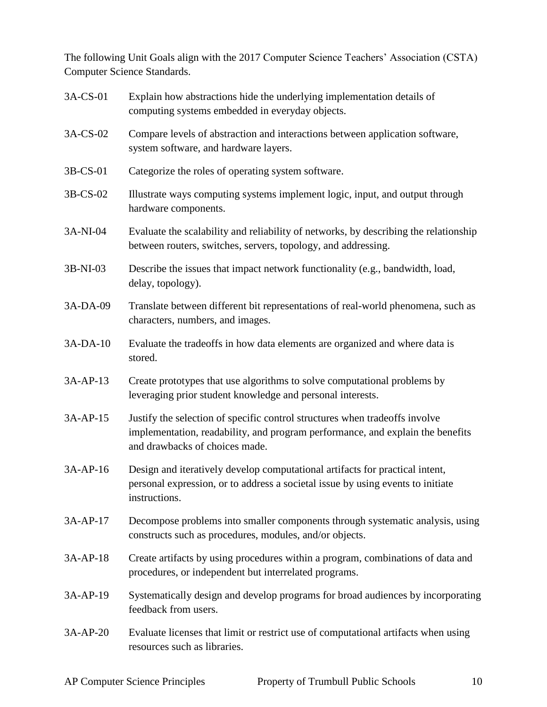The following Unit Goals align with the 2017 Computer Science Teachers' Association (CSTA) Computer Science Standards.

| 3A-CS-01 | Explain how abstractions hide the underlying implementation details of<br>computing systems embedded in everyday objects.                                                                       |
|----------|-------------------------------------------------------------------------------------------------------------------------------------------------------------------------------------------------|
| 3A-CS-02 | Compare levels of abstraction and interactions between application software,<br>system software, and hardware layers.                                                                           |
| 3B-CS-01 | Categorize the roles of operating system software.                                                                                                                                              |
| 3B-CS-02 | Illustrate ways computing systems implement logic, input, and output through<br>hardware components.                                                                                            |
| 3A-NI-04 | Evaluate the scalability and reliability of networks, by describing the relationship<br>between routers, switches, servers, topology, and addressing.                                           |
| 3B-NI-03 | Describe the issues that impact network functionality (e.g., bandwidth, load,<br>delay, topology).                                                                                              |
| 3A-DA-09 | Translate between different bit representations of real-world phenomena, such as<br>characters, numbers, and images.                                                                            |
| 3A-DA-10 | Evaluate the tradeoffs in how data elements are organized and where data is<br>stored.                                                                                                          |
| 3A-AP-13 | Create prototypes that use algorithms to solve computational problems by<br>leveraging prior student knowledge and personal interests.                                                          |
| 3A-AP-15 | Justify the selection of specific control structures when tradeoffs involve<br>implementation, readability, and program performance, and explain the benefits<br>and drawbacks of choices made. |
| 3A-AP-16 | Design and iteratively develop computational artifacts for practical intent,<br>personal expression, or to address a societal issue by using events to initiate<br>instructions.                |
| 3A-AP-17 | Decompose problems into smaller components through systematic analysis, using<br>constructs such as procedures, modules, and/or objects.                                                        |
| 3A-AP-18 | Create artifacts by using procedures within a program, combinations of data and<br>procedures, or independent but interrelated programs.                                                        |
| 3A-AP-19 | Systematically design and develop programs for broad audiences by incorporating<br>feedback from users.                                                                                         |
| 3A-AP-20 | Evaluate licenses that limit or restrict use of computational artifacts when using<br>resources such as libraries.                                                                              |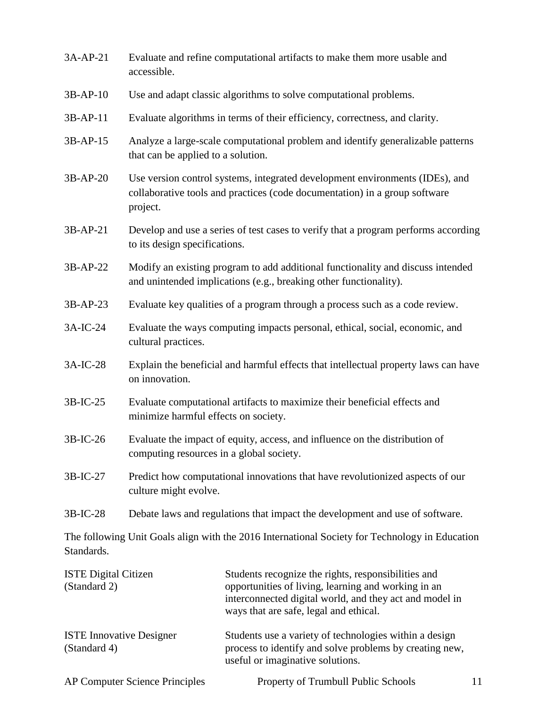| 3A-AP-21                                        | Evaluate and refine computational artifacts to make them more usable and<br>accessible.                                                                                |                                                                                                                                                                                                                 |  |    |
|-------------------------------------------------|------------------------------------------------------------------------------------------------------------------------------------------------------------------------|-----------------------------------------------------------------------------------------------------------------------------------------------------------------------------------------------------------------|--|----|
| $3B-AP-10$                                      | Use and adapt classic algorithms to solve computational problems.                                                                                                      |                                                                                                                                                                                                                 |  |    |
| $3B-AP-11$                                      | Evaluate algorithms in terms of their efficiency, correctness, and clarity.                                                                                            |                                                                                                                                                                                                                 |  |    |
| 3B-AP-15                                        | Analyze a large-scale computational problem and identify generalizable patterns<br>that can be applied to a solution.                                                  |                                                                                                                                                                                                                 |  |    |
| $3B-AP-20$                                      | Use version control systems, integrated development environments (IDEs), and<br>collaborative tools and practices (code documentation) in a group software<br>project. |                                                                                                                                                                                                                 |  |    |
| 3B-AP-21                                        | Develop and use a series of test cases to verify that a program performs according<br>to its design specifications.                                                    |                                                                                                                                                                                                                 |  |    |
| 3B-AP-22                                        | Modify an existing program to add additional functionality and discuss intended<br>and unintended implications (e.g., breaking other functionality).                   |                                                                                                                                                                                                                 |  |    |
| 3B-AP-23                                        | Evaluate key qualities of a program through a process such as a code review.                                                                                           |                                                                                                                                                                                                                 |  |    |
| $3A-IC-24$                                      | Evaluate the ways computing impacts personal, ethical, social, economic, and<br>cultural practices.                                                                    |                                                                                                                                                                                                                 |  |    |
| 3A-IC-28                                        | Explain the beneficial and harmful effects that intellectual property laws can have<br>on innovation.                                                                  |                                                                                                                                                                                                                 |  |    |
| $3B-IC-25$                                      | Evaluate computational artifacts to maximize their beneficial effects and<br>minimize harmful effects on society.                                                      |                                                                                                                                                                                                                 |  |    |
| 3B-IC-26                                        | Evaluate the impact of equity, access, and influence on the distribution of<br>computing resources in a global society.                                                |                                                                                                                                                                                                                 |  |    |
| 3B-IC-27                                        | Predict how computational innovations that have revolutionized aspects of our<br>culture might evolve.                                                                 |                                                                                                                                                                                                                 |  |    |
| 3B-IC-28                                        | Debate laws and regulations that impact the development and use of software.                                                                                           |                                                                                                                                                                                                                 |  |    |
| Standards.                                      |                                                                                                                                                                        | The following Unit Goals align with the 2016 International Society for Technology in Education                                                                                                                  |  |    |
| <b>ISTE Digital Citizen</b><br>(Standard 2)     |                                                                                                                                                                        | Students recognize the rights, responsibilities and<br>opportunities of living, learning and working in an<br>interconnected digital world, and they act and model in<br>ways that are safe, legal and ethical. |  |    |
| <b>ISTE Innovative Designer</b><br>(Standard 4) |                                                                                                                                                                        | Students use a variety of technologies within a design<br>process to identify and solve problems by creating new,<br>useful or imaginative solutions.                                                           |  |    |
|                                                 | <b>AP Computer Science Principles</b>                                                                                                                                  | Property of Trumbull Public Schools                                                                                                                                                                             |  | 11 |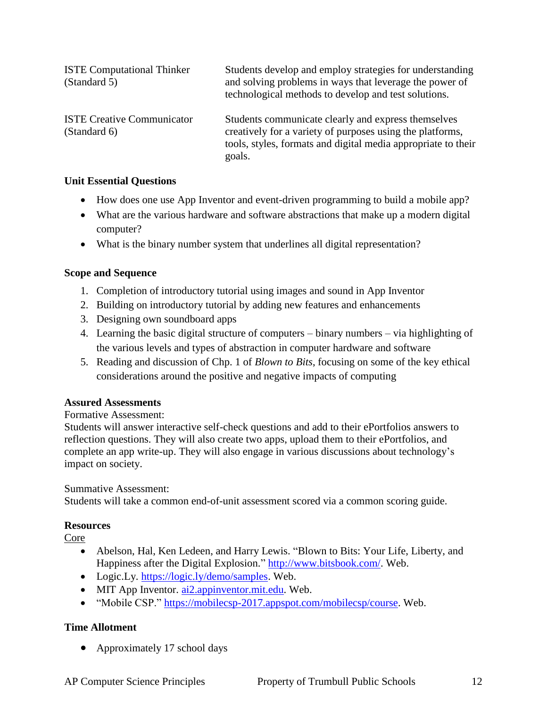| <b>ISTE Computational Thinker</b><br>(Standard 5) | Students develop and employ strategies for understanding<br>and solving problems in ways that leverage the power of<br>technological methods to develop and test solutions.                 |
|---------------------------------------------------|---------------------------------------------------------------------------------------------------------------------------------------------------------------------------------------------|
| <b>ISTE Creative Communicator</b><br>(Standard 6) | Students communicate clearly and express themselves<br>creatively for a variety of purposes using the platforms,<br>tools, styles, formats and digital media appropriate to their<br>goals. |

#### **Unit Essential Questions**

- How does one use App Inventor and event-driven programming to build a mobile app?
- What are the various hardware and software abstractions that make up a modern digital computer?
- What is the binary number system that underlines all digital representation?

#### **Scope and Sequence**

- 1. Completion of introductory tutorial using images and sound in App Inventor
- 2. Building on introductory tutorial by adding new features and enhancements
- 3. Designing own soundboard apps
- 4. Learning the basic digital structure of computers binary numbers via highlighting of the various levels and types of abstraction in computer hardware and software
- 5. Reading and discussion of Chp. 1 of *Blown to Bits*, focusing on some of the key ethical considerations around the positive and negative impacts of computing

#### **Assured Assessments**

#### Formative Assessment:

Students will answer interactive self-check questions and add to their ePortfolios answers to reflection questions. They will also create two apps, upload them to their ePortfolios, and complete an app write-up. They will also engage in various discussions about technology's impact on society.

#### Summative Assessment:

Students will take a common end-of-unit assessment scored via a common scoring guide.

#### **Resources**

Core

- Abelson, Hal, Ken Ledeen, and Harry Lewis. "Blown to Bits: Your Life, Liberty, and Happiness after the Digital Explosion." [http://www.bitsbook.com/.](http://www.bitsbook.com/) Web.
- Logic.Ly. [https://logic.ly/demo/samples.](https://logic.ly/demo/samples) Web.
- MIT App Inventor. [ai2.appinventor.mit.edu.](ai2.appinventor.mit.edu) Web.
- "Mobile CSP." [https://mobilecsp-2017.appspot.com/mobilecsp/course.](https://mobilecsp-2017.appspot.com/mobilecsp/course) Web.

#### **Time Allotment**

• Approximately 17 school days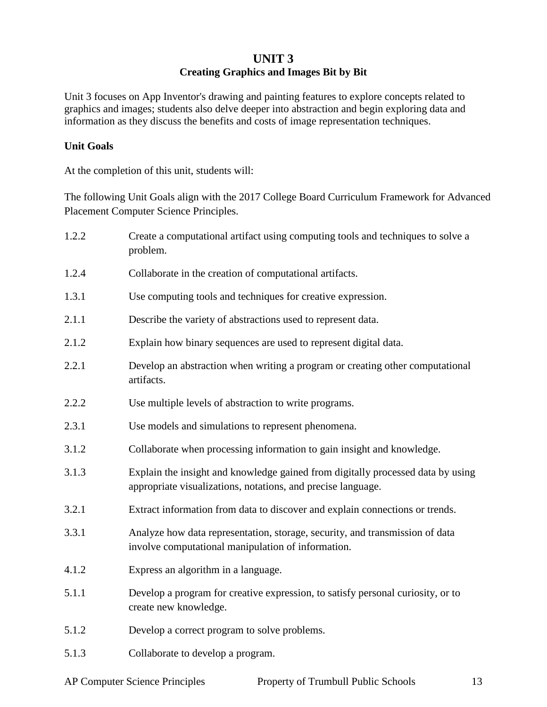## **UNIT 3 Creating Graphics and Images Bit by Bit**

Unit 3 focuses on App Inventor's drawing and painting features to explore concepts related to graphics and images; students also delve deeper into abstraction and begin exploring data and information as they discuss the benefits and costs of image representation techniques.

#### **Unit Goals**

At the completion of this unit, students will:

The following Unit Goals align with the 2017 College Board Curriculum Framework for Advanced Placement Computer Science Principles.

1.2.2 Create a computational artifact using computing tools and techniques to solve a problem. 1.2.4 Collaborate in the creation of computational artifacts. 1.3.1 Use computing tools and techniques for creative expression. 2.1.1 Describe the variety of abstractions used to represent data. 2.1.2 Explain how binary sequences are used to represent digital data. 2.2.1 Develop an abstraction when writing a program or creating other computational artifacts. 2.2.2 Use multiple levels of abstraction to write programs. 2.3.1 Use models and simulations to represent phenomena. 3.1.2 Collaborate when processing information to gain insight and knowledge. 3.1.3 Explain the insight and knowledge gained from digitally processed data by using appropriate visualizations, notations, and precise language. 3.2.1 Extract information from data to discover and explain connections or trends. 3.3.1 Analyze how data representation, storage, security, and transmission of data involve computational manipulation of information. 4.1.2 Express an algorithm in a language. 5.1.1 Develop a program for creative expression, to satisfy personal curiosity, or to create new knowledge. 5.1.2 Develop a correct program to solve problems. 5.1.3 Collaborate to develop a program.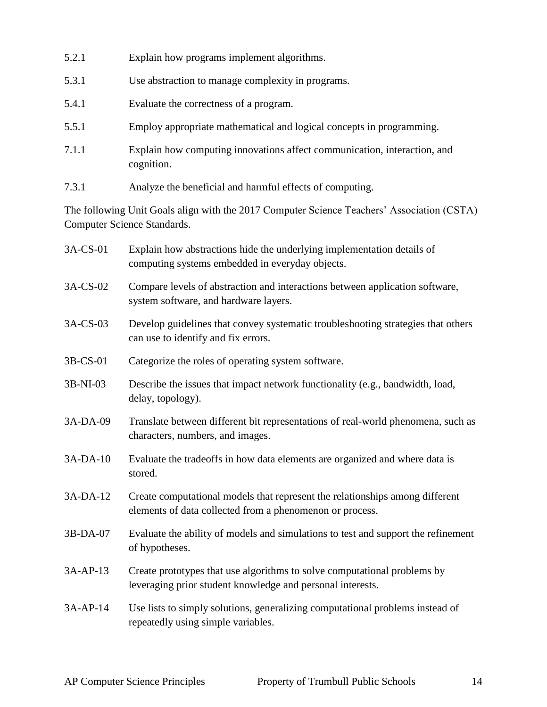- 5.2.1 Explain how programs implement algorithms.
- 5.3.1 Use abstraction to manage complexity in programs.
- 5.4.1 Evaluate the correctness of a program.
- 5.5.1 Employ appropriate mathematical and logical concepts in programming.
- 7.1.1 Explain how computing innovations affect communication, interaction, and cognition.
- 7.3.1 Analyze the beneficial and harmful effects of computing.

The following Unit Goals align with the 2017 Computer Science Teachers' Association (CSTA) Computer Science Standards.

| 3A-CS-01 | Explain how abstractions hide the underlying implementation details of<br>computing systems embedded in everyday objects.                |
|----------|------------------------------------------------------------------------------------------------------------------------------------------|
| 3A-CS-02 | Compare levels of abstraction and interactions between application software,<br>system software, and hardware layers.                    |
| 3A-CS-03 | Develop guidelines that convey systematic troubleshooting strategies that others<br>can use to identify and fix errors.                  |
| 3B-CS-01 | Categorize the roles of operating system software.                                                                                       |
| 3B-NI-03 | Describe the issues that impact network functionality (e.g., bandwidth, load,<br>delay, topology).                                       |
| 3A-DA-09 | Translate between different bit representations of real-world phenomena, such as<br>characters, numbers, and images.                     |
| 3A-DA-10 | Evaluate the tradeoffs in how data elements are organized and where data is<br>stored.                                                   |
| 3A-DA-12 | Create computational models that represent the relationships among different<br>elements of data collected from a phenomenon or process. |
| 3B-DA-07 | Evaluate the ability of models and simulations to test and support the refinement<br>of hypotheses.                                      |
| 3A-AP-13 | Create prototypes that use algorithms to solve computational problems by<br>leveraging prior student knowledge and personal interests.   |
| 3A-AP-14 | Use lists to simply solutions, generalizing computational problems instead of<br>repeatedly using simple variables.                      |
|          |                                                                                                                                          |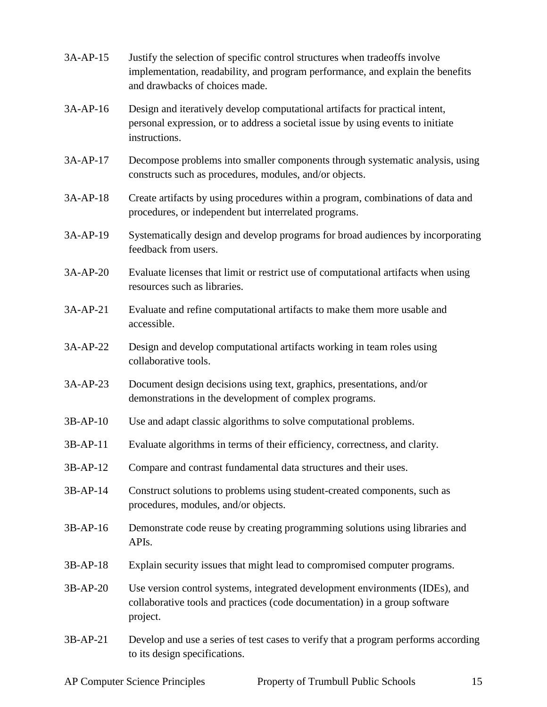- 3A-AP-15 Justify the selection of specific control structures when tradeoffs involve implementation, readability, and program performance, and explain the benefits and drawbacks of choices made.
- 3A-AP-16 Design and iteratively develop computational artifacts for practical intent, personal expression, or to address a societal issue by using events to initiate instructions.
- 3A-AP-17 Decompose problems into smaller components through systematic analysis, using constructs such as procedures, modules, and/or objects.
- 3A-AP-18 Create artifacts by using procedures within a program, combinations of data and procedures, or independent but interrelated programs.
- 3A-AP-19 Systematically design and develop programs for broad audiences by incorporating feedback from users.
- 3A-AP-20 Evaluate licenses that limit or restrict use of computational artifacts when using resources such as libraries.
- 3A-AP-21 Evaluate and refine computational artifacts to make them more usable and accessible.
- 3A-AP-22 Design and develop computational artifacts working in team roles using collaborative tools.
- 3A-AP-23 Document design decisions using text, graphics, presentations, and/or demonstrations in the development of complex programs.
- 3B-AP-10 Use and adapt classic algorithms to solve computational problems.
- 3B-AP-11 Evaluate algorithms in terms of their efficiency, correctness, and clarity.
- 3B-AP-12 Compare and contrast fundamental data structures and their uses.
- 3B-AP-14 Construct solutions to problems using student-created components, such as procedures, modules, and/or objects.
- 3B-AP-16 Demonstrate code reuse by creating programming solutions using libraries and APIs.
- 3B-AP-18 Explain security issues that might lead to compromised computer programs.
- 3B-AP-20 Use version control systems, integrated development environments (IDEs), and collaborative tools and practices (code documentation) in a group software project.
- 3B-AP-21 Develop and use a series of test cases to verify that a program performs according to its design specifications.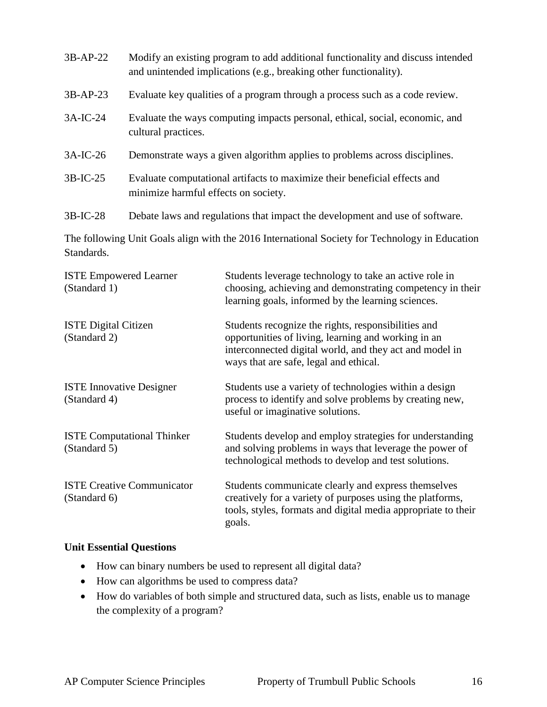| $3B-AP-22$ | Modify an existing program to add additional functionality and discuss intended<br>and unintended implications (e.g., breaking other functionality). |
|------------|------------------------------------------------------------------------------------------------------------------------------------------------------|
| $3B-AP-23$ | Evaluate key qualities of a program through a process such as a code review.                                                                         |
| $3A-IC-24$ | Evaluate the ways computing impacts personal, ethical, social, economic, and<br>cultural practices.                                                  |
| $3A-IC-26$ | Demonstrate ways a given algorithm applies to problems across disciplines.                                                                           |
| $3B-IC-25$ | Evaluate computational artifacts to maximize their beneficial effects and<br>minimize harmful effects on society.                                    |
| $3B-IC-28$ | Debate laws and regulations that impact the development and use of software.                                                                         |
|            |                                                                                                                                                      |

The following Unit Goals align with the 2016 International Society for Technology in Education Standards.

| <b>ISTE Empowered Learner</b><br>(Standard 1)     | Students leverage technology to take an active role in<br>choosing, achieving and demonstrating competency in their<br>learning goals, informed by the learning sciences.                                       |
|---------------------------------------------------|-----------------------------------------------------------------------------------------------------------------------------------------------------------------------------------------------------------------|
| <b>ISTE Digital Citizen</b><br>(Standard 2)       | Students recognize the rights, responsibilities and<br>opportunities of living, learning and working in an<br>interconnected digital world, and they act and model in<br>ways that are safe, legal and ethical. |
| <b>ISTE Innovative Designer</b><br>(Standard 4)   | Students use a variety of technologies within a design<br>process to identify and solve problems by creating new,<br>useful or imaginative solutions.                                                           |
| <b>ISTE Computational Thinker</b><br>(Standard 5) | Students develop and employ strategies for understanding<br>and solving problems in ways that leverage the power of<br>technological methods to develop and test solutions.                                     |
| <b>ISTE Creative Communicator</b><br>(Standard 6) | Students communicate clearly and express themselves<br>creatively for a variety of purposes using the platforms,<br>tools, styles, formats and digital media appropriate to their<br>goals.                     |

#### **Unit Essential Questions**

- How can binary numbers be used to represent all digital data?
- How can algorithms be used to compress data?
- How do variables of both simple and structured data, such as lists, enable us to manage the complexity of a program?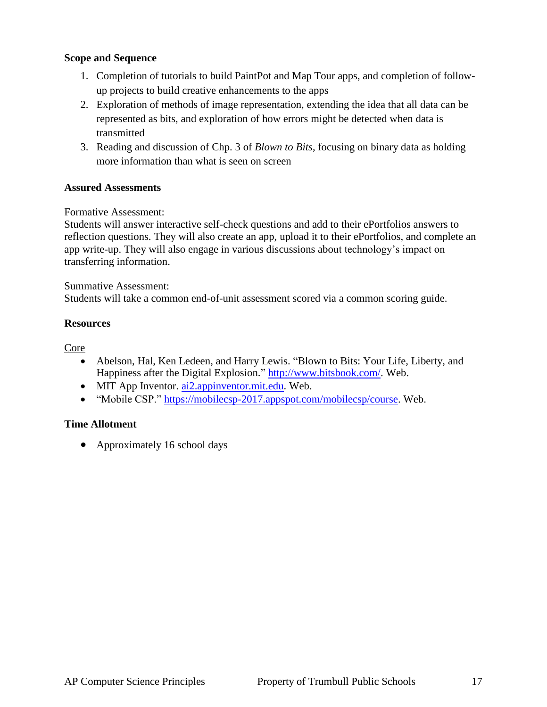#### **Scope and Sequence**

- 1. Completion of tutorials to build PaintPot and Map Tour apps, and completion of followup projects to build creative enhancements to the apps
- 2. Exploration of methods of image representation, extending the idea that all data can be represented as bits, and exploration of how errors might be detected when data is transmitted
- 3. Reading and discussion of Chp. 3 of *Blown to Bits*, focusing on binary data as holding more information than what is seen on screen

#### **Assured Assessments**

#### Formative Assessment:

Students will answer interactive self-check questions and add to their ePortfolios answers to reflection questions. They will also create an app, upload it to their ePortfolios, and complete an app write-up. They will also engage in various discussions about technology's impact on transferring information.

Summative Assessment:

Students will take a common end-of-unit assessment scored via a common scoring guide.

#### **Resources**

Core

- Abelson, Hal, Ken Ledeen, and Harry Lewis. "Blown to Bits: Your Life, Liberty, and Happiness after the Digital Explosion." [http://www.bitsbook.com/.](http://www.bitsbook.com/) Web.
- MIT App Inventor. [ai2.appinventor.mit.edu.](ai2.appinventor.mit.edu) Web.
- "Mobile CSP." [https://mobilecsp-2017.appspot.com/mobilecsp/course.](https://mobilecsp-2017.appspot.com/mobilecsp/course) Web.

#### **Time Allotment**

• Approximately 16 school days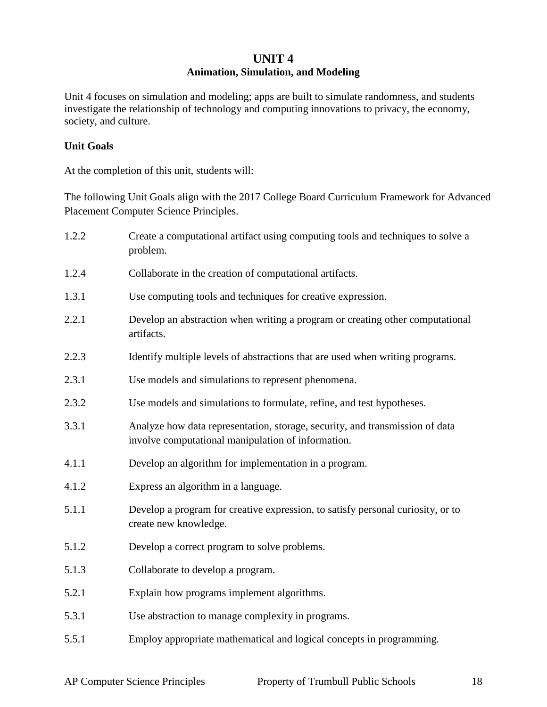## **UNIT 4 Animation, Simulation, and Modeling**

Unit 4 focuses on simulation and modeling; apps are built to simulate randomness, and students investigate the relationship of technology and computing innovations to privacy, the economy, society, and culture.

#### **Unit Goals**

At the completion of this unit, students will:

The following Unit Goals align with the 2017 College Board Curriculum Framework for Advanced Placement Computer Science Principles.

| 1.2.2 | Create a computational artifact using computing tools and techniques to solve a<br>problem.                                        |
|-------|------------------------------------------------------------------------------------------------------------------------------------|
| 1.2.4 | Collaborate in the creation of computational artifacts.                                                                            |
| 1.3.1 | Use computing tools and techniques for creative expression.                                                                        |
| 2.2.1 | Develop an abstraction when writing a program or creating other computational<br>artifacts.                                        |
| 2.2.3 | Identify multiple levels of abstractions that are used when writing programs.                                                      |
| 2.3.1 | Use models and simulations to represent phenomena.                                                                                 |
| 2.3.2 | Use models and simulations to formulate, refine, and test hypotheses.                                                              |
| 3.3.1 | Analyze how data representation, storage, security, and transmission of data<br>involve computational manipulation of information. |
| 4.1.1 | Develop an algorithm for implementation in a program.                                                                              |
| 4.1.2 | Express an algorithm in a language.                                                                                                |
| 5.1.1 | Develop a program for creative expression, to satisfy personal curiosity, or to<br>create new knowledge.                           |
| 5.1.2 | Develop a correct program to solve problems.                                                                                       |
| 5.1.3 | Collaborate to develop a program.                                                                                                  |
| 5.2.1 | Explain how programs implement algorithms.                                                                                         |
| 5.3.1 | Use abstraction to manage complexity in programs.                                                                                  |
| 5.5.1 | Employ appropriate mathematical and logical concepts in programming.                                                               |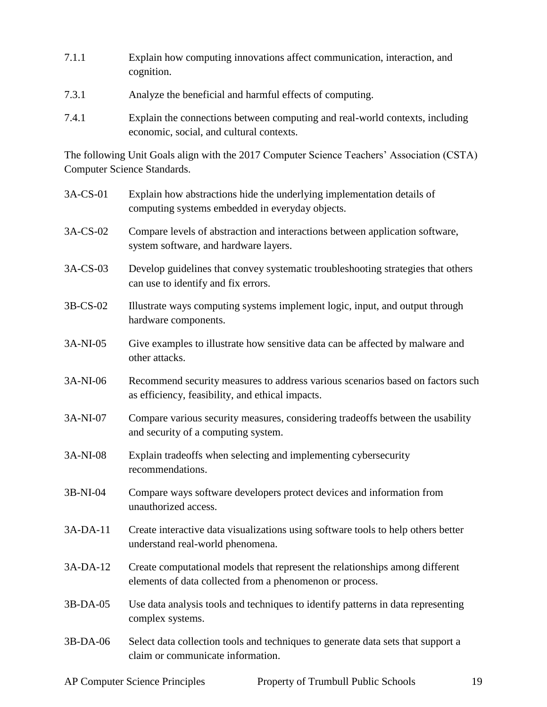- 7.1.1 Explain how computing innovations affect communication, interaction, and cognition.
- 7.3.1 Analyze the beneficial and harmful effects of computing.
- 7.4.1 Explain the connections between computing and real-world contexts, including economic, social, and cultural contexts.

The following Unit Goals align with the 2017 Computer Science Teachers' Association (CSTA) Computer Science Standards.

| 3A-CS-01 | Explain how abstractions hide the underlying implementation details of<br>computing systems embedded in everyday objects.                |
|----------|------------------------------------------------------------------------------------------------------------------------------------------|
| 3A-CS-02 | Compare levels of abstraction and interactions between application software,<br>system software, and hardware layers.                    |
| 3A-CS-03 | Develop guidelines that convey systematic troubleshooting strategies that others<br>can use to identify and fix errors.                  |
| 3B-CS-02 | Illustrate ways computing systems implement logic, input, and output through<br>hardware components.                                     |
| 3A-NI-05 | Give examples to illustrate how sensitive data can be affected by malware and<br>other attacks.                                          |
| 3A-NI-06 | Recommend security measures to address various scenarios based on factors such<br>as efficiency, feasibility, and ethical impacts.       |
| 3A-NI-07 | Compare various security measures, considering tradeoffs between the usability<br>and security of a computing system.                    |
| 3A-NI-08 | Explain tradeoffs when selecting and implementing cybersecurity<br>recommendations.                                                      |
| 3B-NI-04 | Compare ways software developers protect devices and information from<br>unauthorized access.                                            |
| 3A-DA-11 | Create interactive data visualizations using software tools to help others better<br>understand real-world phenomena.                    |
| 3A-DA-12 | Create computational models that represent the relationships among different<br>elements of data collected from a phenomenon or process. |
| 3B-DA-05 | Use data analysis tools and techniques to identify patterns in data representing<br>complex systems.                                     |
| 3B-DA-06 | Select data collection tools and techniques to generate data sets that support a<br>claim or communicate information.                    |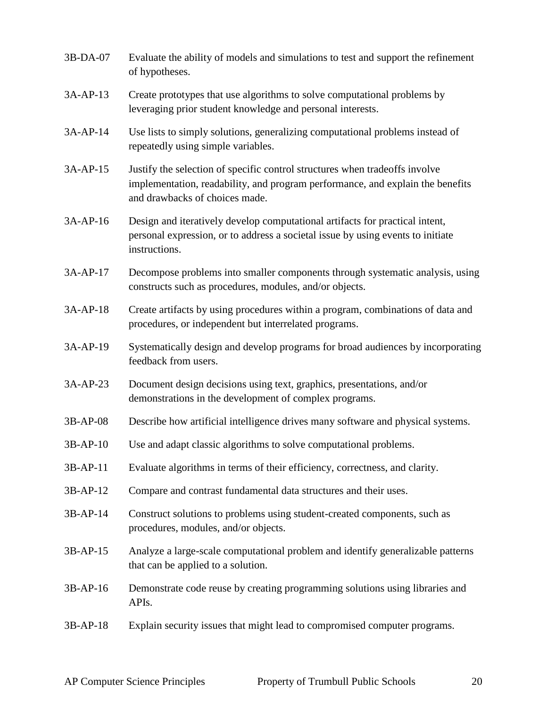| 3B-DA-07   | Evaluate the ability of models and simulations to test and support the refinement<br>of hypotheses.                                                                                             |
|------------|-------------------------------------------------------------------------------------------------------------------------------------------------------------------------------------------------|
| 3A-AP-13   | Create prototypes that use algorithms to solve computational problems by<br>leveraging prior student knowledge and personal interests.                                                          |
| 3A-AP-14   | Use lists to simply solutions, generalizing computational problems instead of<br>repeatedly using simple variables.                                                                             |
| 3A-AP-15   | Justify the selection of specific control structures when tradeoffs involve<br>implementation, readability, and program performance, and explain the benefits<br>and drawbacks of choices made. |
| 3A-AP-16   | Design and iteratively develop computational artifacts for practical intent,<br>personal expression, or to address a societal issue by using events to initiate<br>instructions.                |
| 3A-AP-17   | Decompose problems into smaller components through systematic analysis, using<br>constructs such as procedures, modules, and/or objects.                                                        |
| 3A-AP-18   | Create artifacts by using procedures within a program, combinations of data and<br>procedures, or independent but interrelated programs.                                                        |
| 3A-AP-19   | Systematically design and develop programs for broad audiences by incorporating<br>feedback from users.                                                                                         |
| 3A-AP-23   | Document design decisions using text, graphics, presentations, and/or<br>demonstrations in the development of complex programs.                                                                 |
| 3B-AP-08   | Describe how artificial intelligence drives many software and physical systems.                                                                                                                 |
| $3B-AP-10$ | Use and adapt classic algorithms to solve computational problems.                                                                                                                               |
| 3B-AP-11   | Evaluate algorithms in terms of their efficiency, correctness, and clarity.                                                                                                                     |
| 3B-AP-12   | Compare and contrast fundamental data structures and their uses.                                                                                                                                |
| 3B-AP-14   | Construct solutions to problems using student-created components, such as<br>procedures, modules, and/or objects.                                                                               |
| 3B-AP-15   | Analyze a large-scale computational problem and identify generalizable patterns<br>that can be applied to a solution.                                                                           |
| 3B-AP-16   | Demonstrate code reuse by creating programming solutions using libraries and<br>APIs.                                                                                                           |
| 3B-AP-18   | Explain security issues that might lead to compromised computer programs.                                                                                                                       |
|            |                                                                                                                                                                                                 |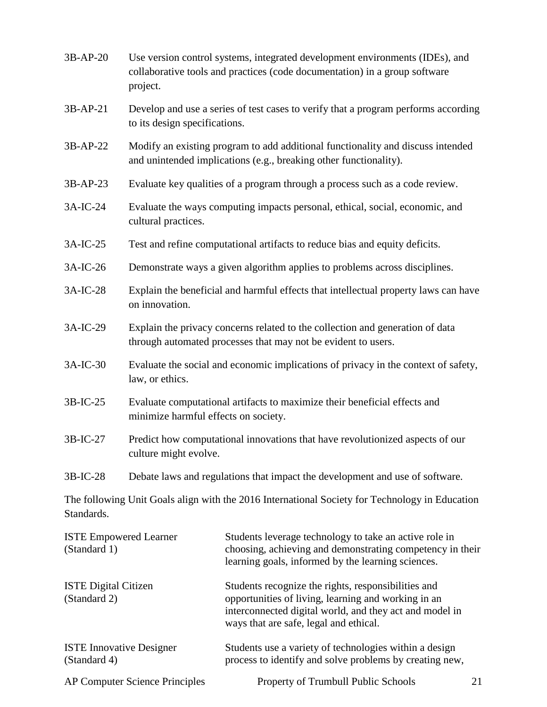- 3B-AP-20 Use version control systems, integrated development environments (IDEs), and collaborative tools and practices (code documentation) in a group software project.
- 3B-AP-21 Develop and use a series of test cases to verify that a program performs according to its design specifications.
- 3B-AP-22 Modify an existing program to add additional functionality and discuss intended and unintended implications (e.g., breaking other functionality).
- 3B-AP-23 Evaluate key qualities of a program through a process such as a code review.
- 3A-IC-24 Evaluate the ways computing impacts personal, ethical, social, economic, and cultural practices.
- 3A-IC-25 Test and refine computational artifacts to reduce bias and equity deficits.
- 3A-IC-26 Demonstrate ways a given algorithm applies to problems across disciplines.
- 3A-IC-28 Explain the beneficial and harmful effects that intellectual property laws can have on innovation.
- 3A-IC-29 Explain the privacy concerns related to the collection and generation of data through automated processes that may not be evident to users.
- 3A-IC-30 Evaluate the social and economic implications of privacy in the context of safety, law, or ethics.
- 3B-IC-25 Evaluate computational artifacts to maximize their beneficial effects and minimize harmful effects on society.
- 3B-IC-27 Predict how computational innovations that have revolutionized aspects of our culture might evolve.
- 3B-IC-28 Debate laws and regulations that impact the development and use of software.

The following Unit Goals align with the 2016 International Society for Technology in Education Standards.

| <b>ISTE Empowered Learner</b><br>(Standard 1)   | Students leverage technology to take an active role in<br>choosing, achieving and demonstrating competency in their<br>learning goals, informed by the learning sciences.                                       |    |
|-------------------------------------------------|-----------------------------------------------------------------------------------------------------------------------------------------------------------------------------------------------------------------|----|
| <b>ISTE</b> Digital Citizen<br>(Standard 2)     | Students recognize the rights, responsibilities and<br>opportunities of living, learning and working in an<br>interconnected digital world, and they act and model in<br>ways that are safe, legal and ethical. |    |
| <b>ISTE Innovative Designer</b><br>(Standard 4) | Students use a variety of technologies within a design<br>process to identify and solve problems by creating new,                                                                                               |    |
| <b>AP Computer Science Principles</b>           | Property of Trumbull Public Schools                                                                                                                                                                             | 21 |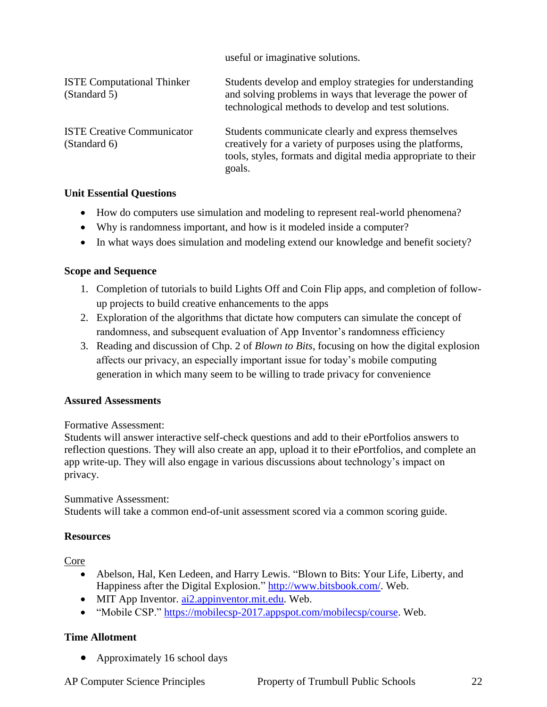useful or imaginative solutions.

| <b>ISTE Computational Thinker</b><br>(Standard 5) | Students develop and employ strategies for understanding<br>and solving problems in ways that leverage the power of<br>technological methods to develop and test solutions.                 |
|---------------------------------------------------|---------------------------------------------------------------------------------------------------------------------------------------------------------------------------------------------|
| <b>ISTE Creative Communicator</b><br>(Standard 6) | Students communicate clearly and express themselves<br>creatively for a variety of purposes using the platforms,<br>tools, styles, formats and digital media appropriate to their<br>goals. |

#### **Unit Essential Questions**

- How do computers use simulation and modeling to represent real-world phenomena?
- Why is randomness important, and how is it modeled inside a computer?
- In what ways does simulation and modeling extend our knowledge and benefit society?

#### **Scope and Sequence**

- 1. Completion of tutorials to build Lights Off and Coin Flip apps, and completion of followup projects to build creative enhancements to the apps
- 2. Exploration of the algorithms that dictate how computers can simulate the concept of randomness, and subsequent evaluation of App Inventor's randomness efficiency
- 3. Reading and discussion of Chp. 2 of *Blown to Bits*, focusing on how the digital explosion affects our privacy, an especially important issue for today's mobile computing generation in which many seem to be willing to trade privacy for convenience

#### **Assured Assessments**

Formative Assessment:

Students will answer interactive self-check questions and add to their ePortfolios answers to reflection questions. They will also create an app, upload it to their ePortfolios, and complete an app write-up. They will also engage in various discussions about technology's impact on privacy.

Summative Assessment: Students will take a common end-of-unit assessment scored via a common scoring guide.

#### **Resources**

Core

- Abelson, Hal, Ken Ledeen, and Harry Lewis. "Blown to Bits: Your Life, Liberty, and Happiness after the Digital Explosion." [http://www.bitsbook.com/.](http://www.bitsbook.com/) Web.
- MIT App Inventor. [ai2.appinventor.mit.edu.](ai2.appinventor.mit.edu) Web.
- "Mobile CSP." [https://mobilecsp-2017.appspot.com/mobilecsp/course.](https://mobilecsp-2017.appspot.com/mobilecsp/course) Web.

#### **Time Allotment**

• Approximately 16 school days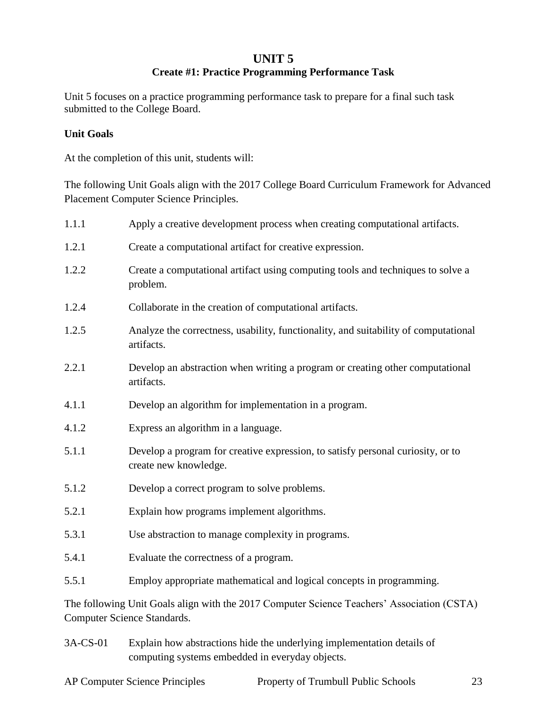#### **UNIT 5**

### **Create #1: Practice Programming Performance Task**

Unit 5 focuses on a practice programming performance task to prepare for a final such task submitted to the College Board.

#### **Unit Goals**

At the completion of this unit, students will:

The following Unit Goals align with the 2017 College Board Curriculum Framework for Advanced Placement Computer Science Principles.

| 1.1.1 | Apply a creative development process when creating computational artifacts.                                               |
|-------|---------------------------------------------------------------------------------------------------------------------------|
| 1.2.1 | Create a computational artifact for creative expression.                                                                  |
| 1.2.2 | Create a computational artifact using computing tools and techniques to solve a<br>problem.                               |
| 1.2.4 | Collaborate in the creation of computational artifacts.                                                                   |
| 1.2.5 | Analyze the correctness, usability, functionality, and suitability of computational<br>artifacts.                         |
| 2.2.1 | Develop an abstraction when writing a program or creating other computational<br>artifacts.                               |
| 4.1.1 | Develop an algorithm for implementation in a program.                                                                     |
| 4.1.2 | Express an algorithm in a language.                                                                                       |
| 5.1.1 | Develop a program for creative expression, to satisfy personal curiosity, or to<br>create new knowledge.                  |
| 5.1.2 | Develop a correct program to solve problems.                                                                              |
| 5.2.1 | Explain how programs implement algorithms.                                                                                |
| 5.3.1 | Use abstraction to manage complexity in programs.                                                                         |
| 5.4.1 | Evaluate the correctness of a program.                                                                                    |
| 5.5.1 | Employ appropriate mathematical and logical concepts in programming.                                                      |
|       | The following Unit Goals align with the 2017 Computer Science Teachers' Association (CSTA)<br>Computer Science Standards. |

3A-CS-01 Explain how abstractions hide the underlying implementation details of computing systems embedded in everyday objects.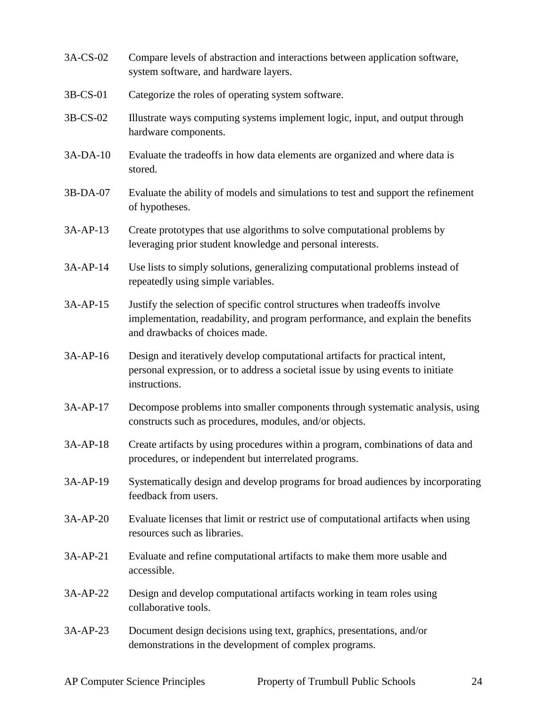- 3A-CS-02 Compare levels of abstraction and interactions between application software, system software, and hardware layers.
- 3B-CS-01 Categorize the roles of operating system software.
- 3B-CS-02 Illustrate ways computing systems implement logic, input, and output through hardware components.
- 3A-DA-10 Evaluate the tradeoffs in how data elements are organized and where data is stored.
- 3B-DA-07 Evaluate the ability of models and simulations to test and support the refinement of hypotheses.
- 3A-AP-13 Create prototypes that use algorithms to solve computational problems by leveraging prior student knowledge and personal interests.
- 3A-AP-14 Use lists to simply solutions, generalizing computational problems instead of repeatedly using simple variables.
- 3A-AP-15 Justify the selection of specific control structures when tradeoffs involve implementation, readability, and program performance, and explain the benefits and drawbacks of choices made.
- 3A-AP-16 Design and iteratively develop computational artifacts for practical intent, personal expression, or to address a societal issue by using events to initiate instructions.
- 3A-AP-17 Decompose problems into smaller components through systematic analysis, using constructs such as procedures, modules, and/or objects.
- 3A-AP-18 Create artifacts by using procedures within a program, combinations of data and procedures, or independent but interrelated programs.
- 3A-AP-19 Systematically design and develop programs for broad audiences by incorporating feedback from users.
- 3A-AP-20 Evaluate licenses that limit or restrict use of computational artifacts when using resources such as libraries.
- 3A-AP-21 Evaluate and refine computational artifacts to make them more usable and accessible.
- 3A-AP-22 Design and develop computational artifacts working in team roles using collaborative tools.
- 3A-AP-23 Document design decisions using text, graphics, presentations, and/or demonstrations in the development of complex programs.

AP Computer Science Principles Property of Trumbull Public Schools 24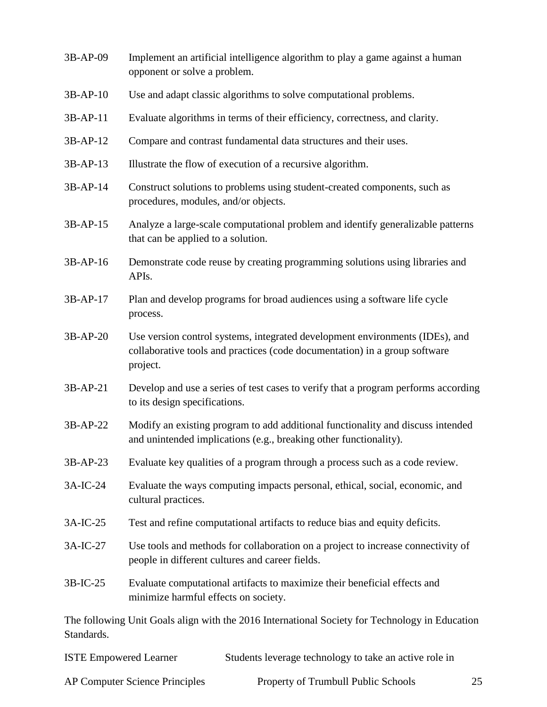| 3B-AP-09   | Implement an artificial intelligence algorithm to play a game against a human<br>opponent or solve a problem.                                                          |
|------------|------------------------------------------------------------------------------------------------------------------------------------------------------------------------|
| $3B-AP-10$ | Use and adapt classic algorithms to solve computational problems.                                                                                                      |
| $3B-AP-11$ | Evaluate algorithms in terms of their efficiency, correctness, and clarity.                                                                                            |
| 3B-AP-12   | Compare and contrast fundamental data structures and their uses.                                                                                                       |
| 3B-AP-13   | Illustrate the flow of execution of a recursive algorithm.                                                                                                             |
| 3B-AP-14   | Construct solutions to problems using student-created components, such as<br>procedures, modules, and/or objects.                                                      |
| 3B-AP-15   | Analyze a large-scale computational problem and identify generalizable patterns<br>that can be applied to a solution.                                                  |
| 3B-AP-16   | Demonstrate code reuse by creating programming solutions using libraries and<br>APIs.                                                                                  |
| 3B-AP-17   | Plan and develop programs for broad audiences using a software life cycle<br>process.                                                                                  |
| $3B-AP-20$ | Use version control systems, integrated development environments (IDEs), and<br>collaborative tools and practices (code documentation) in a group software<br>project. |
| 3B-AP-21   | Develop and use a series of test cases to verify that a program performs according<br>to its design specifications.                                                    |
| 3B-AP-22   | Modify an existing program to add additional functionality and discuss intended<br>and unintended implications (e.g., breaking other functionality).                   |
| 3B-AP-23   | Evaluate key qualities of a program through a process such as a code review.                                                                                           |
| 3A-IC-24   | Evaluate the ways computing impacts personal, ethical, social, economic, and<br>cultural practices.                                                                    |
| 3A-IC-25   | Test and refine computational artifacts to reduce bias and equity deficits.                                                                                            |
| 3A-IC-27   | Use tools and methods for collaboration on a project to increase connectivity of<br>people in different cultures and career fields.                                    |
| 3B-IC-25   | Evaluate computational artifacts to maximize their beneficial effects and<br>minimize harmful effects on society.                                                      |
| Standards. | The following Unit Goals align with the 2016 International Society for Technology in Education                                                                         |

| <b>ISTE Empowered Learner</b>         | Students leverage technology to take an active role in |  |
|---------------------------------------|--------------------------------------------------------|--|
| <b>AP Computer Science Principles</b> | Property of Trumbull Public Schools                    |  |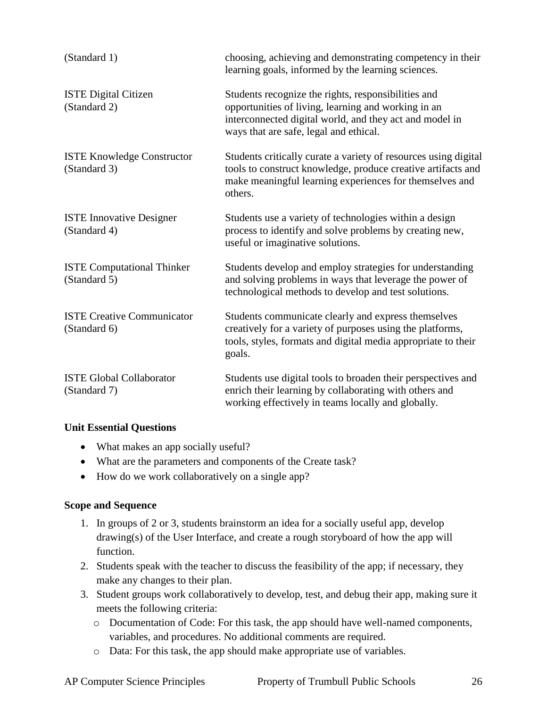| (Standard 1)                                      | choosing, achieving and demonstrating competency in their<br>learning goals, informed by the learning sciences.                                                                                                 |  |
|---------------------------------------------------|-----------------------------------------------------------------------------------------------------------------------------------------------------------------------------------------------------------------|--|
| <b>ISTE Digital Citizen</b><br>(Standard 2)       | Students recognize the rights, responsibilities and<br>opportunities of living, learning and working in an<br>interconnected digital world, and they act and model in<br>ways that are safe, legal and ethical. |  |
| <b>ISTE Knowledge Constructor</b><br>(Standard 3) | Students critically curate a variety of resources using digital<br>tools to construct knowledge, produce creative artifacts and<br>make meaningful learning experiences for themselves and<br>others.           |  |
| <b>ISTE Innovative Designer</b><br>(Standard 4)   | Students use a variety of technologies within a design<br>process to identify and solve problems by creating new,<br>useful or imaginative solutions.                                                           |  |
| <b>ISTE Computational Thinker</b><br>(Standard 5) | Students develop and employ strategies for understanding<br>and solving problems in ways that leverage the power of<br>technological methods to develop and test solutions.                                     |  |
| <b>ISTE Creative Communicator</b><br>(Standard 6) | Students communicate clearly and express themselves<br>creatively for a variety of purposes using the platforms,<br>tools, styles, formats and digital media appropriate to their<br>goals.                     |  |
| <b>ISTE Global Collaborator</b><br>(Standard 7)   | Students use digital tools to broaden their perspectives and<br>enrich their learning by collaborating with others and<br>working effectively in teams locally and globally.                                    |  |

#### **Unit Essential Questions**

- What makes an app socially useful?
- What are the parameters and components of the Create task?
- How do we work collaboratively on a single app?

#### **Scope and Sequence**

- 1. In groups of 2 or 3, students brainstorm an idea for a socially useful app, develop drawing(s) of the User Interface, and create a rough storyboard of how the app will function.
- 2. Students speak with the teacher to discuss the feasibility of the app; if necessary, they make any changes to their plan.
- 3. Student groups work collaboratively to develop, test, and debug their app, making sure it meets the following criteria:
	- o Documentation of Code: For this task, the app should have well-named components, variables, and procedures. No additional comments are required.
	- o Data: For this task, the app should make appropriate use of variables.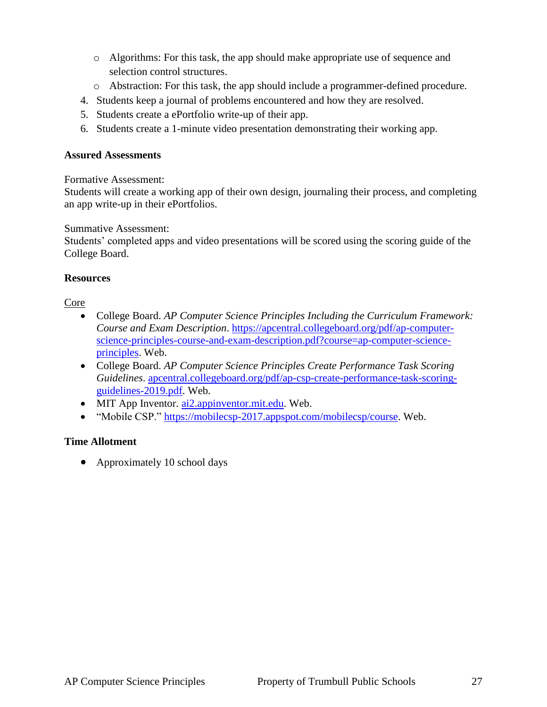- o Algorithms: For this task, the app should make appropriate use of sequence and selection control structures.
- o Abstraction: For this task, the app should include a programmer-defined procedure.
- 4. Students keep a journal of problems encountered and how they are resolved.
- 5. Students create a ePortfolio write-up of their app.
- 6. Students create a 1-minute video presentation demonstrating their working app.

#### **Assured Assessments**

Formative Assessment:

Students will create a working app of their own design, journaling their process, and completing an app write-up in their ePortfolios.

Summative Assessment:

Students' completed apps and video presentations will be scored using the scoring guide of the College Board.

#### **Resources**

#### Core

- College Board. *AP Computer Science Principles Including the Curriculum Framework: Course and Exam Description*. [https://apcentral.collegeboard.org/pdf/ap-computer](https://apcentral.collegeboard.org/pdf/ap-computer-science-principles-course-and-exam-description.pdf?course=ap-computer-science-principles)[science-principles-course-and-exam-description.pdf?course=ap-computer-science](https://apcentral.collegeboard.org/pdf/ap-computer-science-principles-course-and-exam-description.pdf?course=ap-computer-science-principles)[principles.](https://apcentral.collegeboard.org/pdf/ap-computer-science-principles-course-and-exam-description.pdf?course=ap-computer-science-principles) Web.
- College Board. *AP Computer Science Principles Create Performance Task Scoring Guidelines*. [apcentral.collegeboard.org/pdf/ap-csp-create-performance-task-scoring](apcentral.collegeboard.org/pdf/ap-csp-create-performance-task-scoring-guidelines-2019.pdf)[guidelines-2019.pdf.](apcentral.collegeboard.org/pdf/ap-csp-create-performance-task-scoring-guidelines-2019.pdf) Web.
- MIT App Inventor. [ai2.appinventor.mit.edu.](ai2.appinventor.mit.edu) Web.
- "Mobile CSP." [https://mobilecsp-2017.appspot.com/mobilecsp/course.](https://mobilecsp-2017.appspot.com/mobilecsp/course) Web.

#### **Time Allotment**

• Approximately 10 school days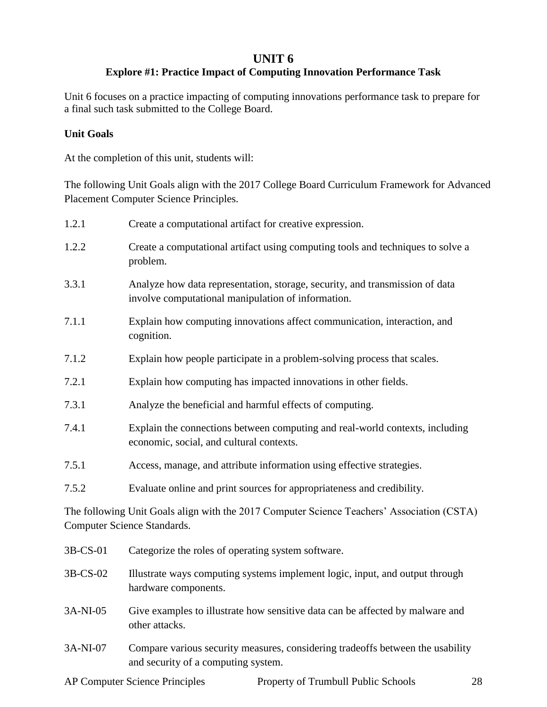## **UNIT 6**

## **Explore #1: Practice Impact of Computing Innovation Performance Task**

Unit 6 focuses on a practice impacting of computing innovations performance task to prepare for a final such task submitted to the College Board.

#### **Unit Goals**

At the completion of this unit, students will:

The following Unit Goals align with the 2017 College Board Curriculum Framework for Advanced Placement Computer Science Principles.

| 1.2.1    | Create a computational artifact for creative expression.                                                                           |
|----------|------------------------------------------------------------------------------------------------------------------------------------|
| 1.2.2    | Create a computational artifact using computing tools and techniques to solve a<br>problem.                                        |
| 3.3.1    | Analyze how data representation, storage, security, and transmission of data<br>involve computational manipulation of information. |
| 7.1.1    | Explain how computing innovations affect communication, interaction, and<br>cognition.                                             |
| 7.1.2    | Explain how people participate in a problem-solving process that scales.                                                           |
| 7.2.1    | Explain how computing has impacted innovations in other fields.                                                                    |
| 7.3.1    | Analyze the beneficial and harmful effects of computing.                                                                           |
| 7.4.1    | Explain the connections between computing and real-world contexts, including<br>economic, social, and cultural contexts.           |
| 7.5.1    | Access, manage, and attribute information using effective strategies.                                                              |
| 7.5.2    | Evaluate online and print sources for appropriateness and credibility.                                                             |
|          | The following Unit Goals align with the 2017 Computer Science Teachers' Association (CSTA)<br>Computer Science Standards.          |
| 3B-CS-01 | Categorize the roles of operating system software.                                                                                 |
| 3B-CS-02 | Illustrate ways computing systems implement logic, input, and output through<br>hardware components.                               |

- 3A-NI-05 Give examples to illustrate how sensitive data can be affected by malware and other attacks.
- 3A-NI-07 Compare various security measures, considering tradeoffs between the usability and security of a computing system.

AP Computer Science Principles Property of Trumbull Public Schools 28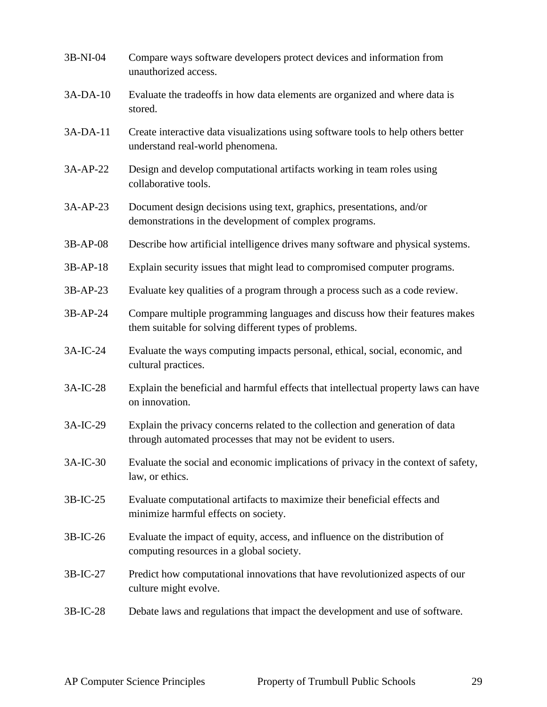| 3B-NI-04   | Compare ways software developers protect devices and information from<br>unauthorized access.                                                  |
|------------|------------------------------------------------------------------------------------------------------------------------------------------------|
| 3A-DA-10   | Evaluate the tradeoffs in how data elements are organized and where data is<br>stored.                                                         |
| $3A-DA-11$ | Create interactive data visualizations using software tools to help others better<br>understand real-world phenomena.                          |
| 3A-AP-22   | Design and develop computational artifacts working in team roles using<br>collaborative tools.                                                 |
| 3A-AP-23   | Document design decisions using text, graphics, presentations, and/or<br>demonstrations in the development of complex programs.                |
| 3B-AP-08   | Describe how artificial intelligence drives many software and physical systems.                                                                |
| 3B-AP-18   | Explain security issues that might lead to compromised computer programs.                                                                      |
| $3B-AP-23$ | Evaluate key qualities of a program through a process such as a code review.                                                                   |
| 3B-AP-24   | Compare multiple programming languages and discuss how their features makes<br>them suitable for solving different types of problems.          |
| 3A-IC-24   | Evaluate the ways computing impacts personal, ethical, social, economic, and<br>cultural practices.                                            |
| 3A-IC-28   | Explain the beneficial and harmful effects that intellectual property laws can have<br>on innovation.                                          |
| 3A-IC-29   | Explain the privacy concerns related to the collection and generation of data<br>through automated processes that may not be evident to users. |
| 3A-IC-30   | Evaluate the social and economic implications of privacy in the context of safety,<br>law, or ethics.                                          |
| $3B-IC-25$ | Evaluate computational artifacts to maximize their beneficial effects and<br>minimize harmful effects on society.                              |
| 3B-IC-26   | Evaluate the impact of equity, access, and influence on the distribution of<br>computing resources in a global society.                        |
| 3B-IC-27   | Predict how computational innovations that have revolutionized aspects of our<br>culture might evolve.                                         |
| 3B-IC-28   | Debate laws and regulations that impact the development and use of software.                                                                   |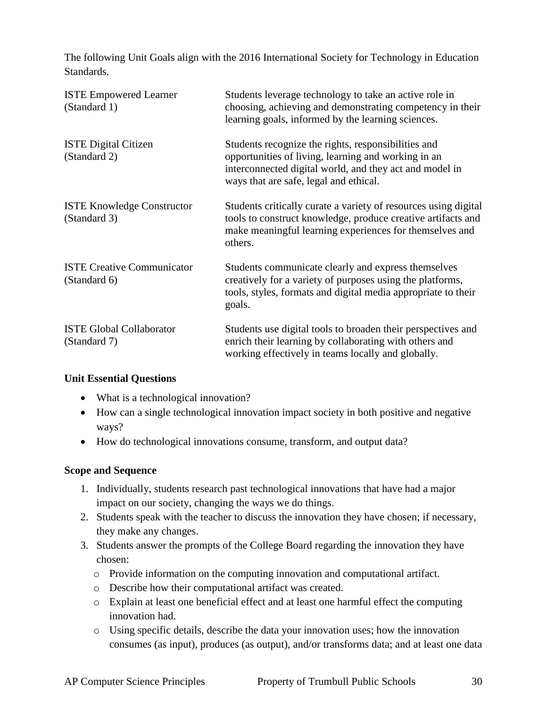The following Unit Goals align with the 2016 International Society for Technology in Education Standards.

| <b>ISTE Empowered Learner</b><br>(Standard 1)     | Students leverage technology to take an active role in<br>choosing, achieving and demonstrating competency in their<br>learning goals, informed by the learning sciences.                                       |
|---------------------------------------------------|-----------------------------------------------------------------------------------------------------------------------------------------------------------------------------------------------------------------|
| <b>ISTE Digital Citizen</b><br>(Standard 2)       | Students recognize the rights, responsibilities and<br>opportunities of living, learning and working in an<br>interconnected digital world, and they act and model in<br>ways that are safe, legal and ethical. |
| <b>ISTE Knowledge Constructor</b><br>(Standard 3) | Students critically curate a variety of resources using digital<br>tools to construct knowledge, produce creative artifacts and<br>make meaningful learning experiences for themselves and<br>others.           |
| <b>ISTE Creative Communicator</b><br>(Standard 6) | Students communicate clearly and express themselves<br>creatively for a variety of purposes using the platforms,<br>tools, styles, formats and digital media appropriate to their<br>goals.                     |
| <b>ISTE Global Collaborator</b><br>(Standard 7)   | Students use digital tools to broaden their perspectives and<br>enrich their learning by collaborating with others and<br>working effectively in teams locally and globally.                                    |

#### **Unit Essential Questions**

- What is a technological innovation?
- How can a single technological innovation impact society in both positive and negative ways?
- How do technological innovations consume, transform, and output data?

#### **Scope and Sequence**

- 1. Individually, students research past technological innovations that have had a major impact on our society, changing the ways we do things.
- 2. Students speak with the teacher to discuss the innovation they have chosen; if necessary, they make any changes.
- 3. Students answer the prompts of the College Board regarding the innovation they have chosen:
	- o Provide information on the computing innovation and computational artifact.
	- o Describe how their computational artifact was created.
	- o Explain at least one beneficial effect and at least one harmful effect the computing innovation had.
	- o Using specific details, describe the data your innovation uses; how the innovation consumes (as input), produces (as output), and/or transforms data; and at least one data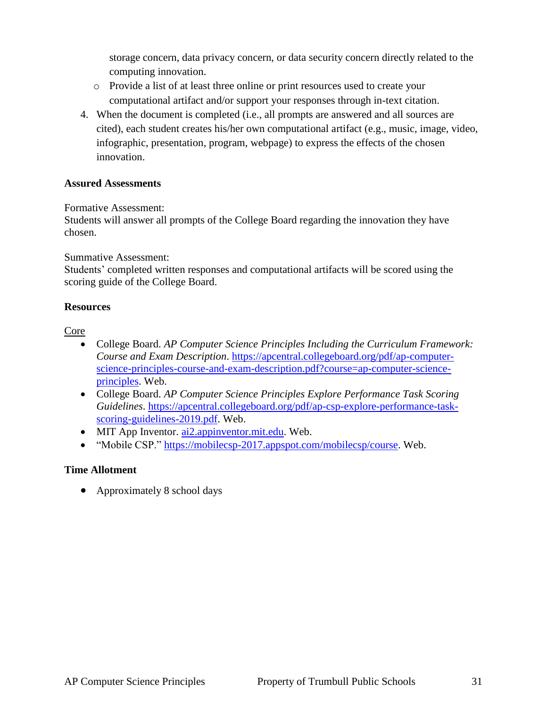storage concern, data privacy concern, or data security concern directly related to the computing innovation.

- o Provide a list of at least three online or print resources used to create your computational artifact and/or support your responses through in-text citation.
- 4. When the document is completed (i.e., all prompts are answered and all sources are cited), each student creates his/her own computational artifact (e.g., music, image, video, infographic, presentation, program, webpage) to express the effects of the chosen innovation.

#### **Assured Assessments**

#### Formative Assessment:

Students will answer all prompts of the College Board regarding the innovation they have chosen.

#### Summative Assessment:

Students' completed written responses and computational artifacts will be scored using the scoring guide of the College Board.

#### **Resources**

#### Core

- College Board. *AP Computer Science Principles Including the Curriculum Framework: Course and Exam Description*. [https://apcentral.collegeboard.org/pdf/ap-computer](https://apcentral.collegeboard.org/pdf/ap-computer-science-principles-course-and-exam-description.pdf?course=ap-computer-science-principles)[science-principles-course-and-exam-description.pdf?course=ap-computer-science](https://apcentral.collegeboard.org/pdf/ap-computer-science-principles-course-and-exam-description.pdf?course=ap-computer-science-principles)[principles.](https://apcentral.collegeboard.org/pdf/ap-computer-science-principles-course-and-exam-description.pdf?course=ap-computer-science-principles) Web.
- College Board. *AP Computer Science Principles Explore Performance Task Scoring Guidelines*. [https://apcentral.collegeboard.org/pdf/ap-csp-explore-performance-task](https://apcentral.collegeboard.org/pdf/ap-csp-explore-performance-task-scoring-guidelines-2019.pdf)[scoring-guidelines-2019.pdf.](https://apcentral.collegeboard.org/pdf/ap-csp-explore-performance-task-scoring-guidelines-2019.pdf) Web.
- MIT App Inventor. [ai2.appinventor.mit.edu.](ai2.appinventor.mit.edu) Web.
- "Mobile CSP." [https://mobilecsp-2017.appspot.com/mobilecsp/course.](https://mobilecsp-2017.appspot.com/mobilecsp/course) Web.

#### **Time Allotment**

• Approximately 8 school days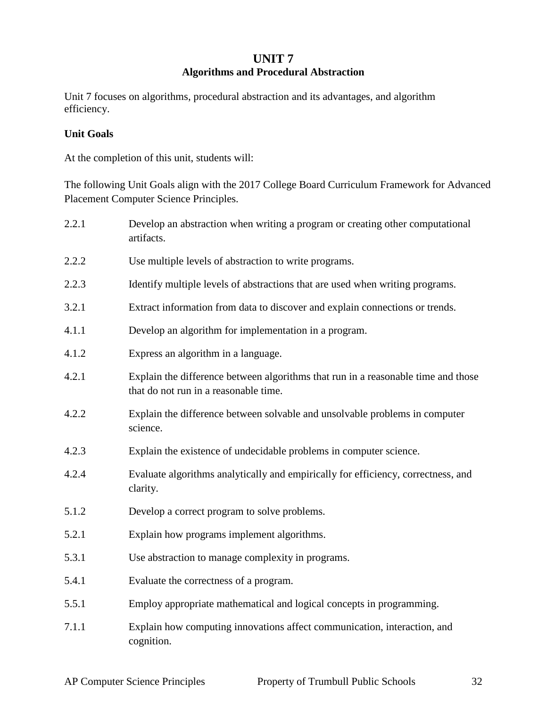## **UNIT 7 Algorithms and Procedural Abstraction**

Unit 7 focuses on algorithms, procedural abstraction and its advantages, and algorithm efficiency.

#### **Unit Goals**

At the completion of this unit, students will:

The following Unit Goals align with the 2017 College Board Curriculum Framework for Advanced Placement Computer Science Principles.

| 2.2.1 | Develop an abstraction when writing a program or creating other computational<br>artifacts.                                |
|-------|----------------------------------------------------------------------------------------------------------------------------|
| 2.2.2 | Use multiple levels of abstraction to write programs.                                                                      |
| 2.2.3 | Identify multiple levels of abstractions that are used when writing programs.                                              |
| 3.2.1 | Extract information from data to discover and explain connections or trends.                                               |
| 4.1.1 | Develop an algorithm for implementation in a program.                                                                      |
| 4.1.2 | Express an algorithm in a language.                                                                                        |
| 4.2.1 | Explain the difference between algorithms that run in a reasonable time and those<br>that do not run in a reasonable time. |
| 4.2.2 | Explain the difference between solvable and unsolvable problems in computer<br>science.                                    |
| 4.2.3 | Explain the existence of undecidable problems in computer science.                                                         |
| 4.2.4 | Evaluate algorithms analytically and empirically for efficiency, correctness, and<br>clarity.                              |
| 5.1.2 | Develop a correct program to solve problems.                                                                               |
| 5.2.1 | Explain how programs implement algorithms.                                                                                 |
| 5.3.1 | Use abstraction to manage complexity in programs.                                                                          |
| 5.4.1 | Evaluate the correctness of a program.                                                                                     |
| 5.5.1 | Employ appropriate mathematical and logical concepts in programming.                                                       |
| 7.1.1 | Explain how computing innovations affect communication, interaction, and<br>cognition.                                     |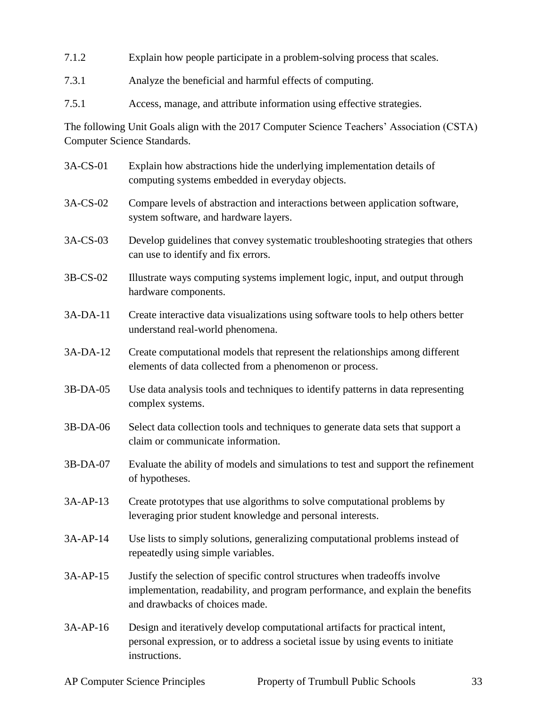- 7.1.2 Explain how people participate in a problem-solving process that scales.
- 7.3.1 Analyze the beneficial and harmful effects of computing.
- 7.5.1 Access, manage, and attribute information using effective strategies.

The following Unit Goals align with the 2017 Computer Science Teachers' Association (CSTA) Computer Science Standards.

3A-CS-01 Explain how abstractions hide the underlying implementation details of computing systems embedded in everyday objects. 3A-CS-02 Compare levels of abstraction and interactions between application software, system software, and hardware layers. 3A-CS-03 Develop guidelines that convey systematic troubleshooting strategies that others can use to identify and fix errors. 3B-CS-02 Illustrate ways computing systems implement logic, input, and output through hardware components. 3A-DA-11 Create interactive data visualizations using software tools to help others better understand real-world phenomena. 3A-DA-12 Create computational models that represent the relationships among different elements of data collected from a phenomenon or process. 3B-DA-05 Use data analysis tools and techniques to identify patterns in data representing complex systems. 3B-DA-06 Select data collection tools and techniques to generate data sets that support a claim or communicate information. 3B-DA-07 Evaluate the ability of models and simulations to test and support the refinement of hypotheses. 3A-AP-13 Create prototypes that use algorithms to solve computational problems by leveraging prior student knowledge and personal interests. 3A-AP-14 Use lists to simply solutions, generalizing computational problems instead of repeatedly using simple variables. 3A-AP-15 Justify the selection of specific control structures when tradeoffs involve implementation, readability, and program performance, and explain the benefits and drawbacks of choices made. 3A-AP-16 Design and iteratively develop computational artifacts for practical intent, personal expression, or to address a societal issue by using events to initiate instructions.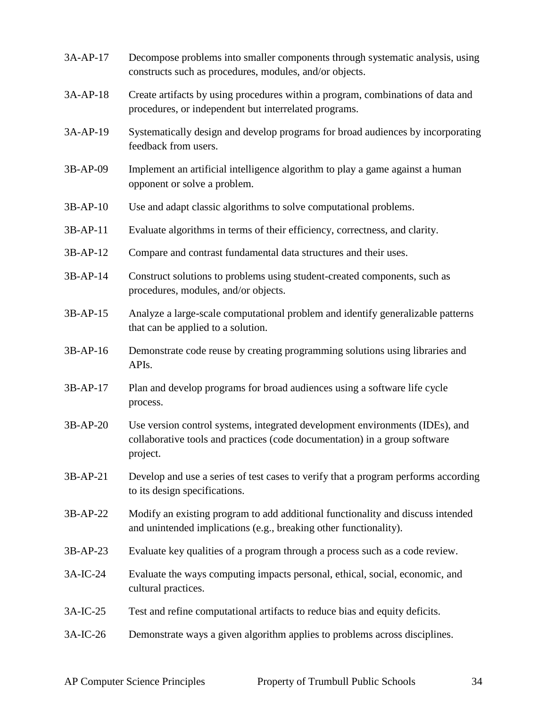| 3A-AP-17   | Decompose problems into smaller components through systematic analysis, using<br>constructs such as procedures, modules, and/or objects.                               |
|------------|------------------------------------------------------------------------------------------------------------------------------------------------------------------------|
| 3A-AP-18   | Create artifacts by using procedures within a program, combinations of data and<br>procedures, or independent but interrelated programs.                               |
| 3A-AP-19   | Systematically design and develop programs for broad audiences by incorporating<br>feedback from users.                                                                |
| 3B-AP-09   | Implement an artificial intelligence algorithm to play a game against a human<br>opponent or solve a problem.                                                          |
| 3B-AP-10   | Use and adapt classic algorithms to solve computational problems.                                                                                                      |
| $3B-AP-11$ | Evaluate algorithms in terms of their efficiency, correctness, and clarity.                                                                                            |
| 3B-AP-12   | Compare and contrast fundamental data structures and their uses.                                                                                                       |
| 3B-AP-14   | Construct solutions to problems using student-created components, such as<br>procedures, modules, and/or objects.                                                      |
| 3B-AP-15   | Analyze a large-scale computational problem and identify generalizable patterns<br>that can be applied to a solution.                                                  |
| 3B-AP-16   | Demonstrate code reuse by creating programming solutions using libraries and<br>APIs.                                                                                  |
| 3B-AP-17   | Plan and develop programs for broad audiences using a software life cycle<br>process.                                                                                  |
| 3B-AP-20   | Use version control systems, integrated development environments (IDEs), and<br>collaborative tools and practices (code documentation) in a group software<br>project. |
| 3B-AP-21   | Develop and use a series of test cases to verify that a program performs according<br>to its design specifications.                                                    |
| 3B-AP-22   | Modify an existing program to add additional functionality and discuss intended<br>and unintended implications (e.g., breaking other functionality).                   |
| 3B-AP-23   | Evaluate key qualities of a program through a process such as a code review.                                                                                           |
| 3A-IC-24   | Evaluate the ways computing impacts personal, ethical, social, economic, and<br>cultural practices.                                                                    |
| 3A-IC-25   | Test and refine computational artifacts to reduce bias and equity deficits.                                                                                            |
| 3A-IC-26   | Demonstrate ways a given algorithm applies to problems across disciplines.                                                                                             |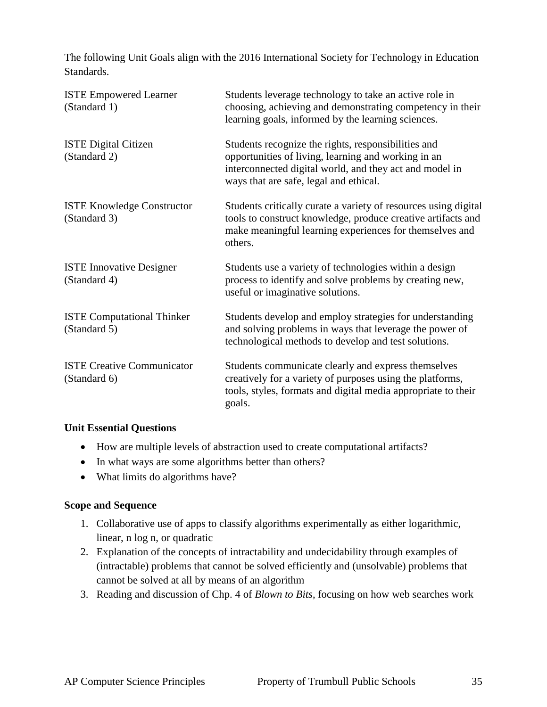The following Unit Goals align with the 2016 International Society for Technology in Education Standards.

| <b>ISTE Empowered Learner</b><br>(Standard 1)     | Students leverage technology to take an active role in<br>choosing, achieving and demonstrating competency in their<br>learning goals, informed by the learning sciences.                                       |
|---------------------------------------------------|-----------------------------------------------------------------------------------------------------------------------------------------------------------------------------------------------------------------|
| <b>ISTE Digital Citizen</b><br>(Standard 2)       | Students recognize the rights, responsibilities and<br>opportunities of living, learning and working in an<br>interconnected digital world, and they act and model in<br>ways that are safe, legal and ethical. |
| <b>ISTE Knowledge Constructor</b><br>(Standard 3) | Students critically curate a variety of resources using digital<br>tools to construct knowledge, produce creative artifacts and<br>make meaningful learning experiences for themselves and<br>others.           |
| <b>ISTE Innovative Designer</b><br>(Standard 4)   | Students use a variety of technologies within a design<br>process to identify and solve problems by creating new,<br>useful or imaginative solutions.                                                           |
| <b>ISTE Computational Thinker</b><br>(Standard 5) | Students develop and employ strategies for understanding<br>and solving problems in ways that leverage the power of<br>technological methods to develop and test solutions.                                     |
| <b>ISTE Creative Communicator</b><br>(Standard 6) | Students communicate clearly and express themselves<br>creatively for a variety of purposes using the platforms,<br>tools, styles, formats and digital media appropriate to their<br>goals.                     |

#### **Unit Essential Questions**

- How are multiple levels of abstraction used to create computational artifacts?
- In what ways are some algorithms better than others?
- What limits do algorithms have?

#### **Scope and Sequence**

- 1. Collaborative use of apps to classify algorithms experimentally as either logarithmic, linear, n log n, or quadratic
- 2. Explanation of the concepts of intractability and undecidability through examples of (intractable) problems that cannot be solved efficiently and (unsolvable) problems that cannot be solved at all by means of an algorithm
- 3. Reading and discussion of Chp. 4 of *Blown to Bits*, focusing on how web searches work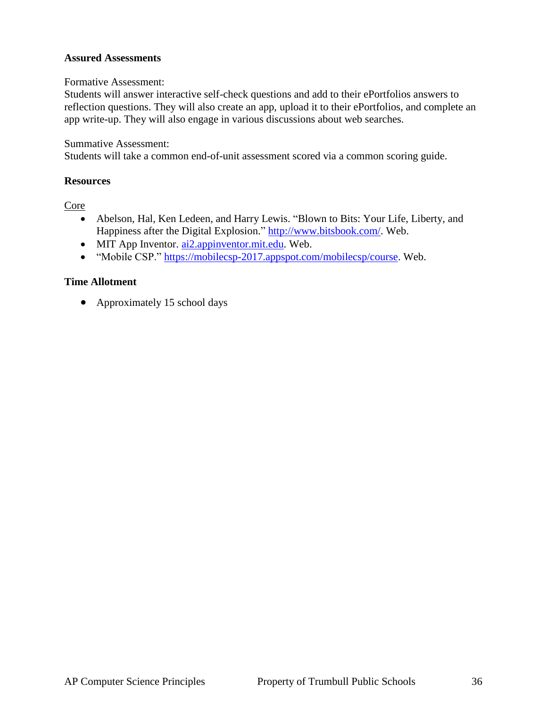#### **Assured Assessments**

#### Formative Assessment:

Students will answer interactive self-check questions and add to their ePortfolios answers to reflection questions. They will also create an app, upload it to their ePortfolios, and complete an app write-up. They will also engage in various discussions about web searches.

#### Summative Assessment:

Students will take a common end-of-unit assessment scored via a common scoring guide.

#### **Resources**

Core

- Abelson, Hal, Ken Ledeen, and Harry Lewis. "Blown to Bits: Your Life, Liberty, and Happiness after the Digital Explosion." [http://www.bitsbook.com/.](http://www.bitsbook.com/) Web.
- MIT App Inventor. [ai2.appinventor.mit.edu.](ai2.appinventor.mit.edu) Web.
- "Mobile CSP." [https://mobilecsp-2017.appspot.com/mobilecsp/course.](https://mobilecsp-2017.appspot.com/mobilecsp/course) Web.

#### **Time Allotment**

• Approximately 15 school days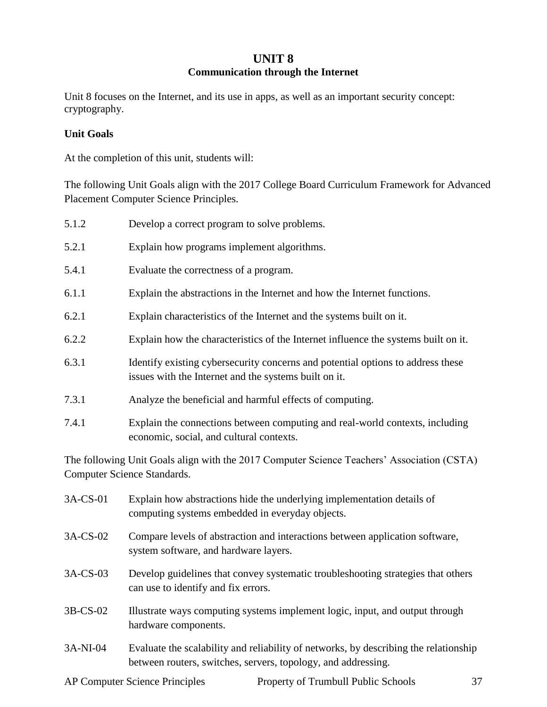#### **UNIT 8 Communication through the Internet**

Unit 8 focuses on the Internet, and its use in apps, as well as an important security concept: cryptography.

#### **Unit Goals**

At the completion of this unit, students will:

The following Unit Goals align with the 2017 College Board Curriculum Framework for Advanced Placement Computer Science Principles.

| 5.1.2 | Develop a correct program to solve problems.                                                                                             |
|-------|------------------------------------------------------------------------------------------------------------------------------------------|
| 5.2.1 | Explain how programs implement algorithms.                                                                                               |
| 5.4.1 | Evaluate the correctness of a program.                                                                                                   |
| 6.1.1 | Explain the abstractions in the Internet and how the Internet functions.                                                                 |
| 6.2.1 | Explain characteristics of the Internet and the systems built on it.                                                                     |
| 6.2.2 | Explain how the characteristics of the Internet influence the systems built on it.                                                       |
| 6.3.1 | Identify existing cybersecurity concerns and potential options to address these<br>issues with the Internet and the systems built on it. |
| 7.3.1 | Analyze the beneficial and harmful effects of computing.                                                                                 |
| 7.4.1 | Explain the connections between computing and real-world contexts, including<br>economic, social, and cultural contexts.                 |
|       | The following Unit Goals align with the 2017 Computer Science Teachers' Association (CSTA)                                               |

Computer Science Standards.

| $3A$ -CS-01 | Explain how abstractions hide the underlying implementation details of<br>computing systems embedded in everyday objects.                             |
|-------------|-------------------------------------------------------------------------------------------------------------------------------------------------------|
| $3A$ -CS-02 | Compare levels of abstraction and interactions between application software,<br>system software, and hardware layers.                                 |
| $3A$ -CS-03 | Develop guidelines that convey systematic troubleshooting strategies that others<br>can use to identify and fix errors.                               |
| $3B$ -CS-02 | Illustrate ways computing systems implement logic, input, and output through<br>hardware components.                                                  |
| $3A-NI-04$  | Evaluate the scalability and reliability of networks, by describing the relationship<br>between routers, switches, servers, topology, and addressing. |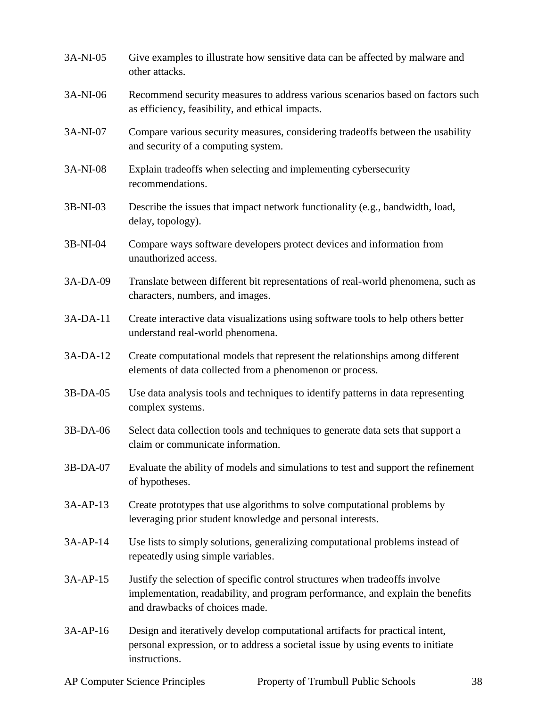| 3A-NI-05 | Give examples to illustrate how sensitive data can be affected by malware and<br>other attacks.                                                                                                 |
|----------|-------------------------------------------------------------------------------------------------------------------------------------------------------------------------------------------------|
| 3A-NI-06 | Recommend security measures to address various scenarios based on factors such<br>as efficiency, feasibility, and ethical impacts.                                                              |
| 3A-NI-07 | Compare various security measures, considering tradeoffs between the usability<br>and security of a computing system.                                                                           |
| 3A-NI-08 | Explain tradeoffs when selecting and implementing cybersecurity<br>recommendations.                                                                                                             |
| 3B-NI-03 | Describe the issues that impact network functionality (e.g., bandwidth, load,<br>delay, topology).                                                                                              |
| 3B-NI-04 | Compare ways software developers protect devices and information from<br>unauthorized access.                                                                                                   |
| 3A-DA-09 | Translate between different bit representations of real-world phenomena, such as<br>characters, numbers, and images.                                                                            |
| 3A-DA-11 | Create interactive data visualizations using software tools to help others better<br>understand real-world phenomena.                                                                           |
| 3A-DA-12 | Create computational models that represent the relationships among different<br>elements of data collected from a phenomenon or process.                                                        |
| 3B-DA-05 | Use data analysis tools and techniques to identify patterns in data representing<br>complex systems.                                                                                            |
| 3B-DA-06 | Select data collection tools and techniques to generate data sets that support a<br>claim or communicate information.                                                                           |
| 3B-DA-07 | Evaluate the ability of models and simulations to test and support the refinement<br>of hypotheses.                                                                                             |
| 3A-AP-13 | Create prototypes that use algorithms to solve computational problems by<br>leveraging prior student knowledge and personal interests.                                                          |
| 3A-AP-14 | Use lists to simply solutions, generalizing computational problems instead of<br>repeatedly using simple variables.                                                                             |
| 3A-AP-15 | Justify the selection of specific control structures when tradeoffs involve<br>implementation, readability, and program performance, and explain the benefits<br>and drawbacks of choices made. |
| 3A-AP-16 | Design and iteratively develop computational artifacts for practical intent,<br>personal expression, or to address a societal issue by using events to initiate<br>instructions.                |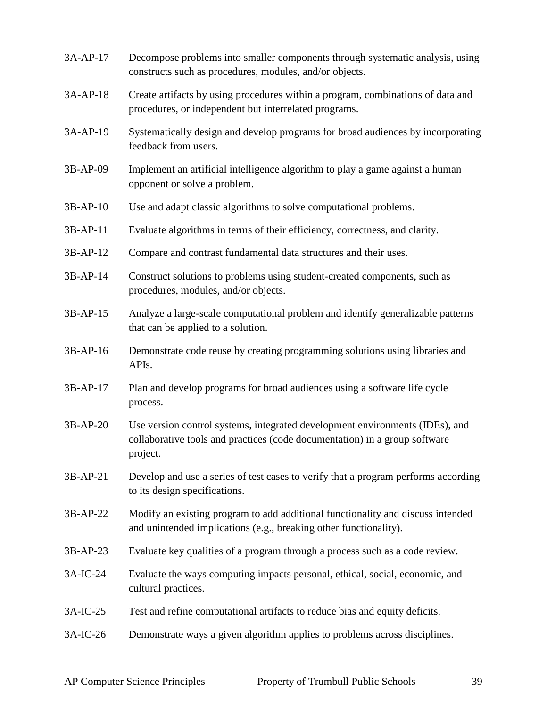| 3A-AP-17   | Decompose problems into smaller components through systematic analysis, using<br>constructs such as procedures, modules, and/or objects.                               |
|------------|------------------------------------------------------------------------------------------------------------------------------------------------------------------------|
| 3A-AP-18   | Create artifacts by using procedures within a program, combinations of data and<br>procedures, or independent but interrelated programs.                               |
| 3A-AP-19   | Systematically design and develop programs for broad audiences by incorporating<br>feedback from users.                                                                |
| 3B-AP-09   | Implement an artificial intelligence algorithm to play a game against a human<br>opponent or solve a problem.                                                          |
| 3B-AP-10   | Use and adapt classic algorithms to solve computational problems.                                                                                                      |
| $3B-AP-11$ | Evaluate algorithms in terms of their efficiency, correctness, and clarity.                                                                                            |
| 3B-AP-12   | Compare and contrast fundamental data structures and their uses.                                                                                                       |
| 3B-AP-14   | Construct solutions to problems using student-created components, such as<br>procedures, modules, and/or objects.                                                      |
| 3B-AP-15   | Analyze a large-scale computational problem and identify generalizable patterns<br>that can be applied to a solution.                                                  |
| 3B-AP-16   | Demonstrate code reuse by creating programming solutions using libraries and<br>APIs.                                                                                  |
| 3B-AP-17   | Plan and develop programs for broad audiences using a software life cycle<br>process.                                                                                  |
| 3B-AP-20   | Use version control systems, integrated development environments (IDEs), and<br>collaborative tools and practices (code documentation) in a group software<br>project. |
| 3B-AP-21   | Develop and use a series of test cases to verify that a program performs according<br>to its design specifications.                                                    |
| 3B-AP-22   | Modify an existing program to add additional functionality and discuss intended<br>and unintended implications (e.g., breaking other functionality).                   |
| 3B-AP-23   | Evaluate key qualities of a program through a process such as a code review.                                                                                           |
| 3A-IC-24   | Evaluate the ways computing impacts personal, ethical, social, economic, and<br>cultural practices.                                                                    |
| 3A-IC-25   | Test and refine computational artifacts to reduce bias and equity deficits.                                                                                            |
| 3A-IC-26   | Demonstrate ways a given algorithm applies to problems across disciplines.                                                                                             |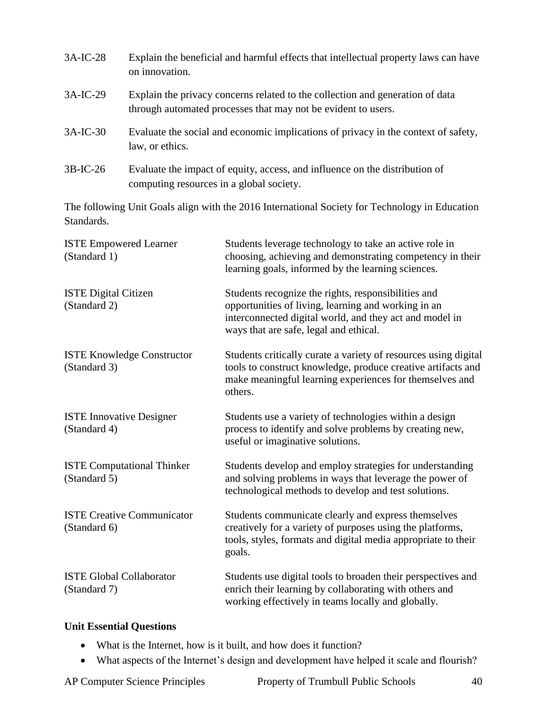| $3A-IC-28$ | Explain the beneficial and harmful effects that intellectual property laws can have<br>on innovation.                                          |
|------------|------------------------------------------------------------------------------------------------------------------------------------------------|
| $3A-IC-29$ | Explain the privacy concerns related to the collection and generation of data<br>through automated processes that may not be evident to users. |
| $3A-IC-30$ | Evaluate the social and economic implications of privacy in the context of safety,<br>law, or ethics.                                          |
| $3B-IC-26$ | Evaluate the impact of equity, access, and influence on the distribution of<br>computing resources in a global society.                        |

The following Unit Goals align with the 2016 International Society for Technology in Education Standards.

| <b>ISTE Empowered Learner</b><br>(Standard 1)     | Students leverage technology to take an active role in<br>choosing, achieving and demonstrating competency in their<br>learning goals, informed by the learning sciences.                                       |
|---------------------------------------------------|-----------------------------------------------------------------------------------------------------------------------------------------------------------------------------------------------------------------|
| <b>ISTE Digital Citizen</b><br>(Standard 2)       | Students recognize the rights, responsibilities and<br>opportunities of living, learning and working in an<br>interconnected digital world, and they act and model in<br>ways that are safe, legal and ethical. |
| <b>ISTE Knowledge Constructor</b><br>(Standard 3) | Students critically curate a variety of resources using digital<br>tools to construct knowledge, produce creative artifacts and<br>make meaningful learning experiences for themselves and<br>others.           |
| <b>ISTE Innovative Designer</b><br>(Standard 4)   | Students use a variety of technologies within a design<br>process to identify and solve problems by creating new,<br>useful or imaginative solutions.                                                           |
| <b>ISTE Computational Thinker</b><br>(Standard 5) | Students develop and employ strategies for understanding<br>and solving problems in ways that leverage the power of<br>technological methods to develop and test solutions.                                     |
| <b>ISTE Creative Communicator</b><br>(Standard 6) | Students communicate clearly and express themselves<br>creatively for a variety of purposes using the platforms,<br>tools, styles, formats and digital media appropriate to their<br>goals.                     |
| <b>ISTE Global Collaborator</b><br>(Standard 7)   | Students use digital tools to broaden their perspectives and<br>enrich their learning by collaborating with others and<br>working effectively in teams locally and globally.                                    |

#### **Unit Essential Questions**

- What is the Internet, how is it built, and how does it function?
- What aspects of the Internet's design and development have helped it scale and flourish?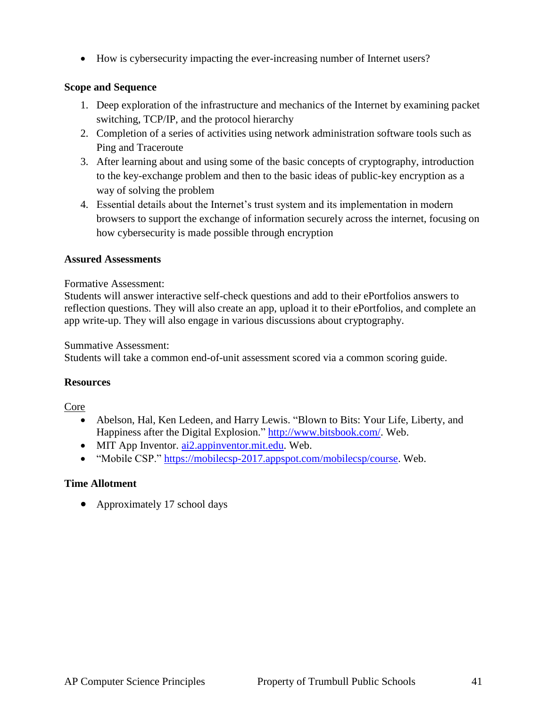How is cybersecurity impacting the ever-increasing number of Internet users?

#### **Scope and Sequence**

- 1. Deep exploration of the infrastructure and mechanics of the Internet by examining packet switching, TCP/IP, and the protocol hierarchy
- 2. Completion of a series of activities using network administration software tools such as Ping and Traceroute
- 3. After learning about and using some of the basic concepts of cryptography, introduction to the key-exchange problem and then to the basic ideas of public-key encryption as a way of solving the problem
- 4. Essential details about the Internet's trust system and its implementation in modern browsers to support the exchange of information securely across the internet, focusing on how cybersecurity is made possible through encryption

#### **Assured Assessments**

Formative Assessment:

Students will answer interactive self-check questions and add to their ePortfolios answers to reflection questions. They will also create an app, upload it to their ePortfolios, and complete an app write-up. They will also engage in various discussions about cryptography.

Summative Assessment:

Students will take a common end-of-unit assessment scored via a common scoring guide.

#### **Resources**

Core

- Abelson, Hal, Ken Ledeen, and Harry Lewis. "Blown to Bits: Your Life, Liberty, and Happiness after the Digital Explosion." [http://www.bitsbook.com/.](http://www.bitsbook.com/) Web.
- MIT App Inventor. [ai2.appinventor.mit.edu.](ai2.appinventor.mit.edu) Web.
- "Mobile CSP." [https://mobilecsp-2017.appspot.com/mobilecsp/course.](https://mobilecsp-2017.appspot.com/mobilecsp/course) Web.

#### **Time Allotment**

• Approximately 17 school days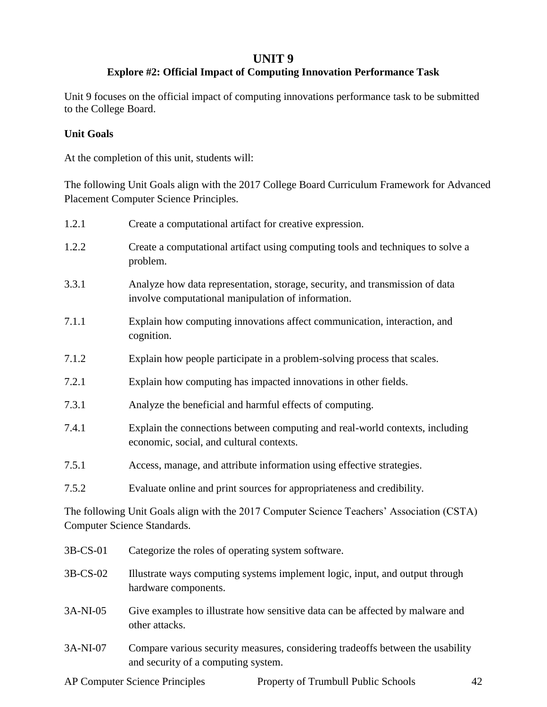#### **UNIT 9**

## **Explore #2: Official Impact of Computing Innovation Performance Task**

Unit 9 focuses on the official impact of computing innovations performance task to be submitted to the College Board.

#### **Unit Goals**

At the completion of this unit, students will:

The following Unit Goals align with the 2017 College Board Curriculum Framework for Advanced Placement Computer Science Principles.

| 1.2.1    | Create a computational artifact for creative expression.                                                                           |  |
|----------|------------------------------------------------------------------------------------------------------------------------------------|--|
| 1.2.2    | Create a computational artifact using computing tools and techniques to solve a<br>problem.                                        |  |
| 3.3.1    | Analyze how data representation, storage, security, and transmission of data<br>involve computational manipulation of information. |  |
| 7.1.1    | Explain how computing innovations affect communication, interaction, and<br>cognition.                                             |  |
| 7.1.2    | Explain how people participate in a problem-solving process that scales.                                                           |  |
| 7.2.1    | Explain how computing has impacted innovations in other fields.                                                                    |  |
| 7.3.1    | Analyze the beneficial and harmful effects of computing.                                                                           |  |
| 7.4.1    | Explain the connections between computing and real-world contexts, including<br>economic, social, and cultural contexts.           |  |
| 7.5.1    | Access, manage, and attribute information using effective strategies.                                                              |  |
| 7.5.2    | Evaluate online and print sources for appropriateness and credibility.                                                             |  |
|          | The following Unit Goals align with the 2017 Computer Science Teachers' Association (CSTA)<br>Computer Science Standards.          |  |
| 3B-CS-01 | Categorize the roles of operating system software.                                                                                 |  |
| 3B-CS-02 | Illustrate ways computing systems implement logic, input, and output through<br>hardware components.                               |  |

- 3A-NI-05 Give examples to illustrate how sensitive data can be affected by malware and other attacks.
- 3A-NI-07 Compare various security measures, considering tradeoffs between the usability and security of a computing system.

AP Computer Science Principles Property of Trumbull Public Schools 42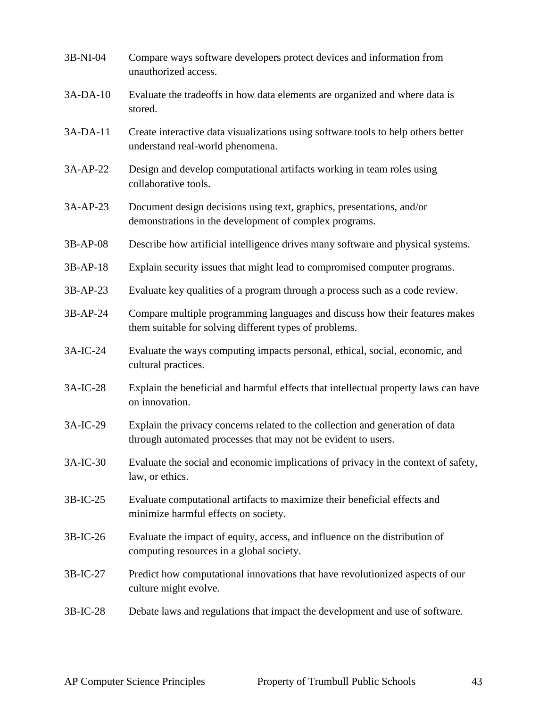| 3B-NI-04   | Compare ways software developers protect devices and information from<br>unauthorized access.                                                  |
|------------|------------------------------------------------------------------------------------------------------------------------------------------------|
| 3A-DA-10   | Evaluate the tradeoffs in how data elements are organized and where data is<br>stored.                                                         |
| $3A-DA-11$ | Create interactive data visualizations using software tools to help others better<br>understand real-world phenomena.                          |
| 3A-AP-22   | Design and develop computational artifacts working in team roles using<br>collaborative tools.                                                 |
| 3A-AP-23   | Document design decisions using text, graphics, presentations, and/or<br>demonstrations in the development of complex programs.                |
| 3B-AP-08   | Describe how artificial intelligence drives many software and physical systems.                                                                |
| 3B-AP-18   | Explain security issues that might lead to compromised computer programs.                                                                      |
| 3B-AP-23   | Evaluate key qualities of a program through a process such as a code review.                                                                   |
| 3B-AP-24   | Compare multiple programming languages and discuss how their features makes<br>them suitable for solving different types of problems.          |
| 3A-IC-24   | Evaluate the ways computing impacts personal, ethical, social, economic, and<br>cultural practices.                                            |
| 3A-IC-28   | Explain the beneficial and harmful effects that intellectual property laws can have<br>on innovation.                                          |
| 3A-IC-29   | Explain the privacy concerns related to the collection and generation of data<br>through automated processes that may not be evident to users. |
| 3A-IC-30   | Evaluate the social and economic implications of privacy in the context of safety,<br>law, or ethics.                                          |
| $3B-IC-25$ | Evaluate computational artifacts to maximize their beneficial effects and<br>minimize harmful effects on society.                              |
| 3B-IC-26   | Evaluate the impact of equity, access, and influence on the distribution of<br>computing resources in a global society.                        |
| 3B-IC-27   | Predict how computational innovations that have revolutionized aspects of our<br>culture might evolve.                                         |
| 3B-IC-28   | Debate laws and regulations that impact the development and use of software.                                                                   |
|            |                                                                                                                                                |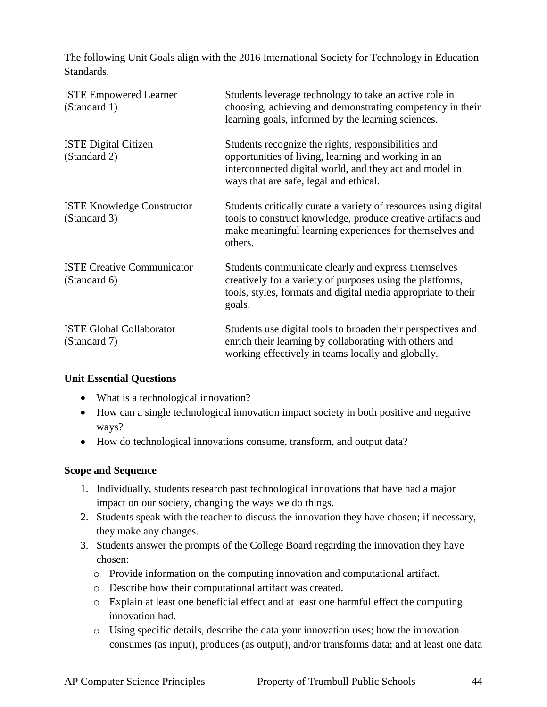The following Unit Goals align with the 2016 International Society for Technology in Education Standards.

| <b>ISTE Empowered Learner</b><br>(Standard 1)     | Students leverage technology to take an active role in<br>choosing, achieving and demonstrating competency in their<br>learning goals, informed by the learning sciences.                                       |
|---------------------------------------------------|-----------------------------------------------------------------------------------------------------------------------------------------------------------------------------------------------------------------|
| <b>ISTE Digital Citizen</b><br>(Standard 2)       | Students recognize the rights, responsibilities and<br>opportunities of living, learning and working in an<br>interconnected digital world, and they act and model in<br>ways that are safe, legal and ethical. |
| <b>ISTE Knowledge Constructor</b><br>(Standard 3) | Students critically curate a variety of resources using digital<br>tools to construct knowledge, produce creative artifacts and<br>make meaningful learning experiences for themselves and<br>others.           |
| <b>ISTE Creative Communicator</b><br>(Standard 6) | Students communicate clearly and express themselves<br>creatively for a variety of purposes using the platforms,<br>tools, styles, formats and digital media appropriate to their<br>goals.                     |
| <b>ISTE Global Collaborator</b><br>(Standard 7)   | Students use digital tools to broaden their perspectives and<br>enrich their learning by collaborating with others and<br>working effectively in teams locally and globally.                                    |

#### **Unit Essential Questions**

- What is a technological innovation?
- How can a single technological innovation impact society in both positive and negative ways?
- How do technological innovations consume, transform, and output data?

#### **Scope and Sequence**

- 1. Individually, students research past technological innovations that have had a major impact on our society, changing the ways we do things.
- 2. Students speak with the teacher to discuss the innovation they have chosen; if necessary, they make any changes.
- 3. Students answer the prompts of the College Board regarding the innovation they have chosen:
	- o Provide information on the computing innovation and computational artifact.
	- o Describe how their computational artifact was created.
	- o Explain at least one beneficial effect and at least one harmful effect the computing innovation had.
	- o Using specific details, describe the data your innovation uses; how the innovation consumes (as input), produces (as output), and/or transforms data; and at least one data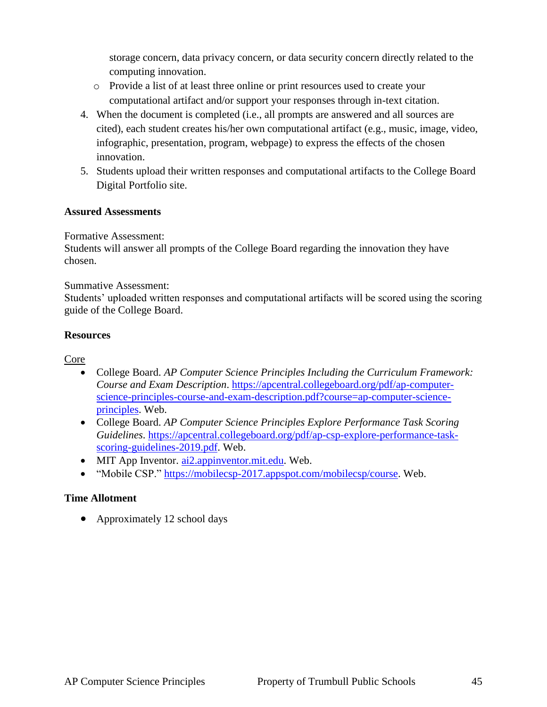storage concern, data privacy concern, or data security concern directly related to the computing innovation.

- o Provide a list of at least three online or print resources used to create your computational artifact and/or support your responses through in-text citation.
- 4. When the document is completed (i.e., all prompts are answered and all sources are cited), each student creates his/her own computational artifact (e.g., music, image, video, infographic, presentation, program, webpage) to express the effects of the chosen innovation.
- 5. Students upload their written responses and computational artifacts to the College Board Digital Portfolio site.

#### **Assured Assessments**

Formative Assessment:

Students will answer all prompts of the College Board regarding the innovation they have chosen.

Summative Assessment:

Students' uploaded written responses and computational artifacts will be scored using the scoring guide of the College Board.

#### **Resources**

Core

- College Board. *AP Computer Science Principles Including the Curriculum Framework: Course and Exam Description*. [https://apcentral.collegeboard.org/pdf/ap-computer](https://apcentral.collegeboard.org/pdf/ap-computer-science-principles-course-and-exam-description.pdf?course=ap-computer-science-principles)[science-principles-course-and-exam-description.pdf?course=ap-computer-science](https://apcentral.collegeboard.org/pdf/ap-computer-science-principles-course-and-exam-description.pdf?course=ap-computer-science-principles)[principles.](https://apcentral.collegeboard.org/pdf/ap-computer-science-principles-course-and-exam-description.pdf?course=ap-computer-science-principles) Web.
- College Board. *AP Computer Science Principles Explore Performance Task Scoring Guidelines*. [https://apcentral.collegeboard.org/pdf/ap-csp-explore-performance-task](https://apcentral.collegeboard.org/pdf/ap-csp-explore-performance-task-scoring-guidelines-2019.pdf)[scoring-guidelines-2019.pdf.](https://apcentral.collegeboard.org/pdf/ap-csp-explore-performance-task-scoring-guidelines-2019.pdf) Web.
- MIT App Inventor. [ai2.appinventor.mit.edu.](ai2.appinventor.mit.edu) Web.
- "Mobile CSP." [https://mobilecsp-2017.appspot.com/mobilecsp/course.](https://mobilecsp-2017.appspot.com/mobilecsp/course) Web.

#### **Time Allotment**

• Approximately 12 school days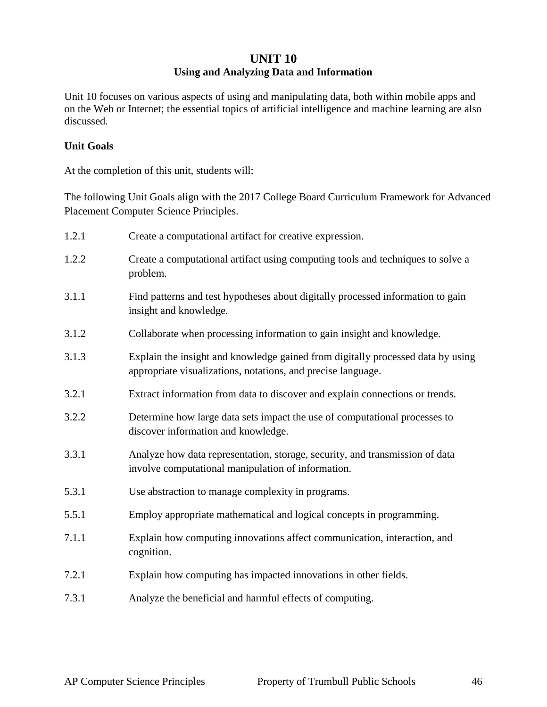## **UNIT 10 Using and Analyzing Data and Information**

Unit 10 focuses on various aspects of using and manipulating data, both within mobile apps and on the Web or Internet; the essential topics of artificial intelligence and machine learning are also discussed.

#### **Unit Goals**

At the completion of this unit, students will:

The following Unit Goals align with the 2017 College Board Curriculum Framework for Advanced Placement Computer Science Principles.

| 1.2.1 | Create a computational artifact for creative expression.                                                                                        |
|-------|-------------------------------------------------------------------------------------------------------------------------------------------------|
| 1.2.2 | Create a computational artifact using computing tools and techniques to solve a<br>problem.                                                     |
| 3.1.1 | Find patterns and test hypotheses about digitally processed information to gain<br>insight and knowledge.                                       |
| 3.1.2 | Collaborate when processing information to gain insight and knowledge.                                                                          |
| 3.1.3 | Explain the insight and knowledge gained from digitally processed data by using<br>appropriate visualizations, notations, and precise language. |
| 3.2.1 | Extract information from data to discover and explain connections or trends.                                                                    |
| 3.2.2 | Determine how large data sets impact the use of computational processes to<br>discover information and knowledge.                               |
| 3.3.1 | Analyze how data representation, storage, security, and transmission of data<br>involve computational manipulation of information.              |
| 5.3.1 | Use abstraction to manage complexity in programs.                                                                                               |
| 5.5.1 | Employ appropriate mathematical and logical concepts in programming.                                                                            |
| 7.1.1 | Explain how computing innovations affect communication, interaction, and<br>cognition.                                                          |
| 7.2.1 | Explain how computing has impacted innovations in other fields.                                                                                 |
| 7.3.1 | Analyze the beneficial and harmful effects of computing.                                                                                        |
|       |                                                                                                                                                 |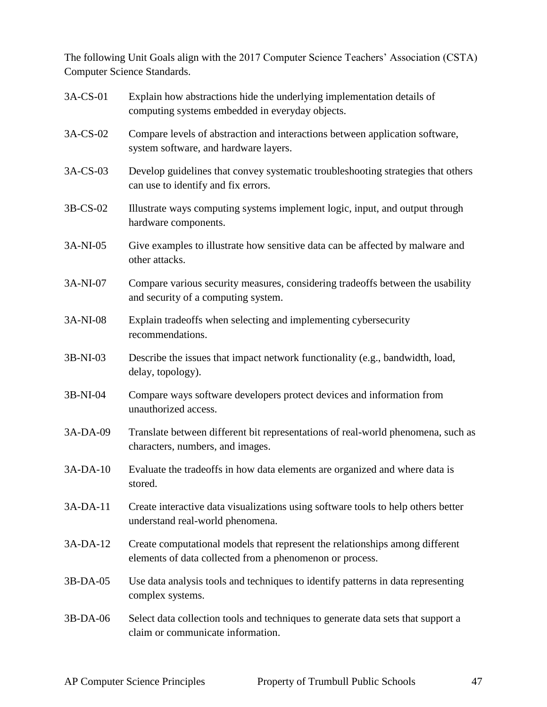The following Unit Goals align with the 2017 Computer Science Teachers' Association (CSTA) Computer Science Standards.

| 3A-CS-01 | Explain how abstractions hide the underlying implementation details of<br>computing systems embedded in everyday objects.                |
|----------|------------------------------------------------------------------------------------------------------------------------------------------|
| 3A-CS-02 | Compare levels of abstraction and interactions between application software,<br>system software, and hardware layers.                    |
| 3A-CS-03 | Develop guidelines that convey systematic troubleshooting strategies that others<br>can use to identify and fix errors.                  |
| 3B-CS-02 | Illustrate ways computing systems implement logic, input, and output through<br>hardware components.                                     |
| 3A-NI-05 | Give examples to illustrate how sensitive data can be affected by malware and<br>other attacks.                                          |
| 3A-NI-07 | Compare various security measures, considering tradeoffs between the usability<br>and security of a computing system.                    |
| 3A-NI-08 | Explain tradeoffs when selecting and implementing cybersecurity<br>recommendations.                                                      |
| 3B-NI-03 | Describe the issues that impact network functionality (e.g., bandwidth, load,<br>delay, topology).                                       |
| 3B-NI-04 | Compare ways software developers protect devices and information from<br>unauthorized access.                                            |
| 3A-DA-09 | Translate between different bit representations of real-world phenomena, such as<br>characters, numbers, and images.                     |
| 3A-DA-10 | Evaluate the tradeoffs in how data elements are organized and where data is<br>stored.                                                   |
| 3A-DA-11 | Create interactive data visualizations using software tools to help others better<br>understand real-world phenomena.                    |
| 3A-DA-12 | Create computational models that represent the relationships among different<br>elements of data collected from a phenomenon or process. |
| 3B-DA-05 | Use data analysis tools and techniques to identify patterns in data representing<br>complex systems.                                     |
| 3B-DA-06 | Select data collection tools and techniques to generate data sets that support a<br>claim or communicate information.                    |
|          |                                                                                                                                          |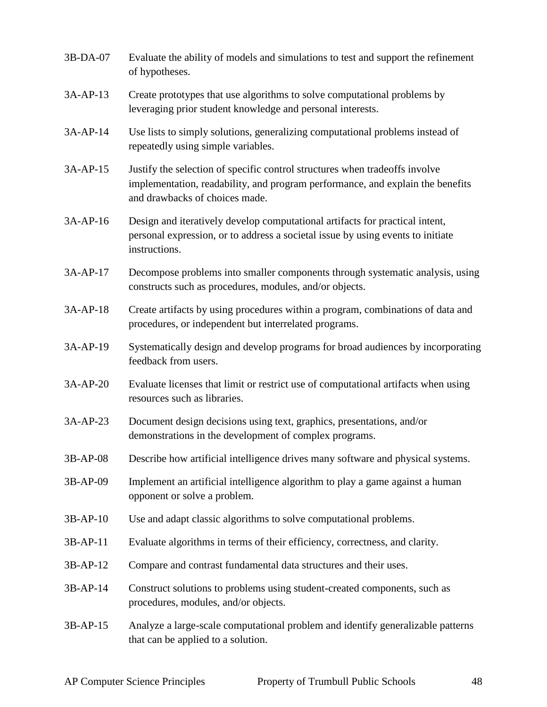| 3B-DA-07   | Evaluate the ability of models and simulations to test and support the refinement<br>of hypotheses.                                                                                             |
|------------|-------------------------------------------------------------------------------------------------------------------------------------------------------------------------------------------------|
| 3A-AP-13   | Create prototypes that use algorithms to solve computational problems by<br>leveraging prior student knowledge and personal interests.                                                          |
| 3A-AP-14   | Use lists to simply solutions, generalizing computational problems instead of<br>repeatedly using simple variables.                                                                             |
| 3A-AP-15   | Justify the selection of specific control structures when tradeoffs involve<br>implementation, readability, and program performance, and explain the benefits<br>and drawbacks of choices made. |
| $3A-AP-16$ | Design and iteratively develop computational artifacts for practical intent,<br>personal expression, or to address a societal issue by using events to initiate<br>instructions.                |
| 3A-AP-17   | Decompose problems into smaller components through systematic analysis, using<br>constructs such as procedures, modules, and/or objects.                                                        |
| 3A-AP-18   | Create artifacts by using procedures within a program, combinations of data and<br>procedures, or independent but interrelated programs.                                                        |
| 3A-AP-19   | Systematically design and develop programs for broad audiences by incorporating<br>feedback from users.                                                                                         |
| 3A-AP-20   | Evaluate licenses that limit or restrict use of computational artifacts when using<br>resources such as libraries.                                                                              |
| $3A-AP-23$ | Document design decisions using text, graphics, presentations, and/or<br>demonstrations in the development of complex programs.                                                                 |
| 3B-AP-08   | Describe how artificial intelligence drives many software and physical systems.                                                                                                                 |
| 3B-AP-09   | Implement an artificial intelligence algorithm to play a game against a human<br>opponent or solve a problem.                                                                                   |
| 3B-AP-10   | Use and adapt classic algorithms to solve computational problems.                                                                                                                               |
| $3B-AP-11$ | Evaluate algorithms in terms of their efficiency, correctness, and clarity.                                                                                                                     |
| 3B-AP-12   | Compare and contrast fundamental data structures and their uses.                                                                                                                                |
| 3B-AP-14   | Construct solutions to problems using student-created components, such as<br>procedures, modules, and/or objects.                                                                               |
| 3B-AP-15   | Analyze a large-scale computational problem and identify generalizable patterns<br>that can be applied to a solution.                                                                           |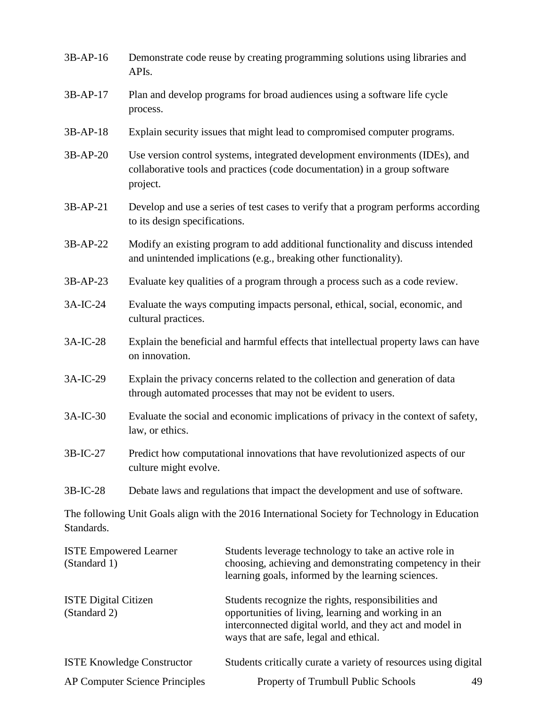| 3B-AP-16                                      | Demonstrate code reuse by creating programming solutions using libraries and<br>APIs.                                                                                  |                                                                                                                                                                                                                 |  |
|-----------------------------------------------|------------------------------------------------------------------------------------------------------------------------------------------------------------------------|-----------------------------------------------------------------------------------------------------------------------------------------------------------------------------------------------------------------|--|
| 3B-AP-17                                      | Plan and develop programs for broad audiences using a software life cycle<br>process.                                                                                  |                                                                                                                                                                                                                 |  |
| $3B-AP-18$                                    | Explain security issues that might lead to compromised computer programs.                                                                                              |                                                                                                                                                                                                                 |  |
| $3B-AP-20$                                    | Use version control systems, integrated development environments (IDEs), and<br>collaborative tools and practices (code documentation) in a group software<br>project. |                                                                                                                                                                                                                 |  |
| 3B-AP-21                                      | Develop and use a series of test cases to verify that a program performs according<br>to its design specifications.                                                    |                                                                                                                                                                                                                 |  |
| 3B-AP-22                                      | Modify an existing program to add additional functionality and discuss intended<br>and unintended implications (e.g., breaking other functionality).                   |                                                                                                                                                                                                                 |  |
| 3B-AP-23                                      |                                                                                                                                                                        | Evaluate key qualities of a program through a process such as a code review.                                                                                                                                    |  |
| 3A-IC-24                                      | Evaluate the ways computing impacts personal, ethical, social, economic, and<br>cultural practices.                                                                    |                                                                                                                                                                                                                 |  |
| 3A-IC-28                                      | Explain the beneficial and harmful effects that intellectual property laws can have<br>on innovation.                                                                  |                                                                                                                                                                                                                 |  |
| 3A-IC-29                                      | Explain the privacy concerns related to the collection and generation of data<br>through automated processes that may not be evident to users.                         |                                                                                                                                                                                                                 |  |
| 3A-IC-30                                      | Evaluate the social and economic implications of privacy in the context of safety,<br>law, or ethics.                                                                  |                                                                                                                                                                                                                 |  |
| 3B-IC-27                                      | Predict how computational innovations that have revolutionized aspects of our<br>culture might evolve.                                                                 |                                                                                                                                                                                                                 |  |
| $3B-IC-28$                                    | Debate laws and regulations that impact the development and use of software.                                                                                           |                                                                                                                                                                                                                 |  |
| Standards.                                    |                                                                                                                                                                        | The following Unit Goals align with the 2016 International Society for Technology in Education                                                                                                                  |  |
| <b>ISTE Empowered Learner</b><br>(Standard 1) |                                                                                                                                                                        | Students leverage technology to take an active role in<br>choosing, achieving and demonstrating competency in their<br>learning goals, informed by the learning sciences.                                       |  |
| <b>ISTE Digital Citizen</b><br>(Standard 2)   |                                                                                                                                                                        | Students recognize the rights, responsibilities and<br>opportunities of living, learning and working in an<br>interconnected digital world, and they act and model in<br>ways that are safe, legal and ethical. |  |

| <b>ISTE Knowledge Constructor</b>     | Students critically curate a variety of resources using digital |  |
|---------------------------------------|-----------------------------------------------------------------|--|
| <b>AP Computer Science Principles</b> | <b>Property of Trumbull Public Schools</b>                      |  |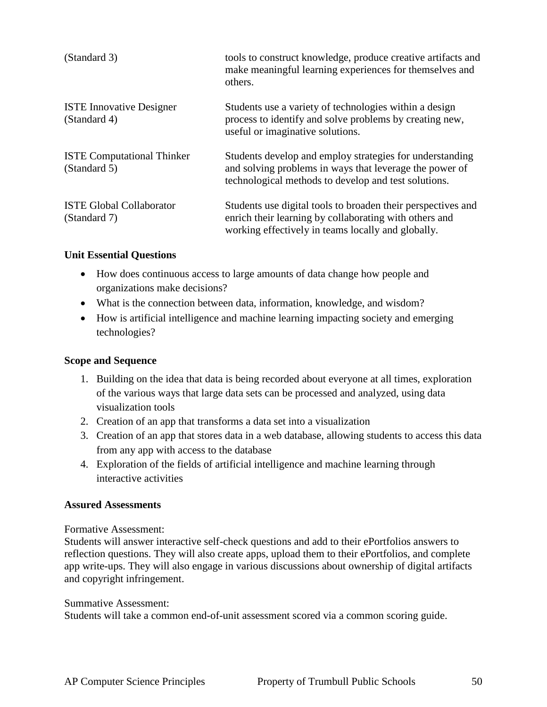| (Standard 3)                                      | tools to construct knowledge, produce creative artifacts and<br>make meaningful learning experiences for themselves and<br>others.                                           |
|---------------------------------------------------|------------------------------------------------------------------------------------------------------------------------------------------------------------------------------|
| <b>ISTE Innovative Designer</b><br>(Standard 4)   | Students use a variety of technologies within a design<br>process to identify and solve problems by creating new,<br>useful or imaginative solutions.                        |
| <b>ISTE Computational Thinker</b><br>(Standard 5) | Students develop and employ strategies for understanding<br>and solving problems in ways that leverage the power of<br>technological methods to develop and test solutions.  |
| <b>ISTE Global Collaborator</b><br>(Standard 7)   | Students use digital tools to broaden their perspectives and<br>enrich their learning by collaborating with others and<br>working effectively in teams locally and globally. |

#### **Unit Essential Questions**

- How does continuous access to large amounts of data change how people and organizations make decisions?
- What is the connection between data, information, knowledge, and wisdom?
- How is artificial intelligence and machine learning impacting society and emerging technologies?

#### **Scope and Sequence**

- 1. Building on the idea that data is being recorded about everyone at all times, exploration of the various ways that large data sets can be processed and analyzed, using data visualization tools
- 2. Creation of an app that transforms a data set into a visualization
- 3. Creation of an app that stores data in a web database, allowing students to access this data from any app with access to the database
- 4. Exploration of the fields of artificial intelligence and machine learning through interactive activities

#### **Assured Assessments**

Formative Assessment:

Students will answer interactive self-check questions and add to their ePortfolios answers to reflection questions. They will also create apps, upload them to their ePortfolios, and complete app write-ups. They will also engage in various discussions about ownership of digital artifacts and copyright infringement.

#### Summative Assessment:

Students will take a common end-of-unit assessment scored via a common scoring guide.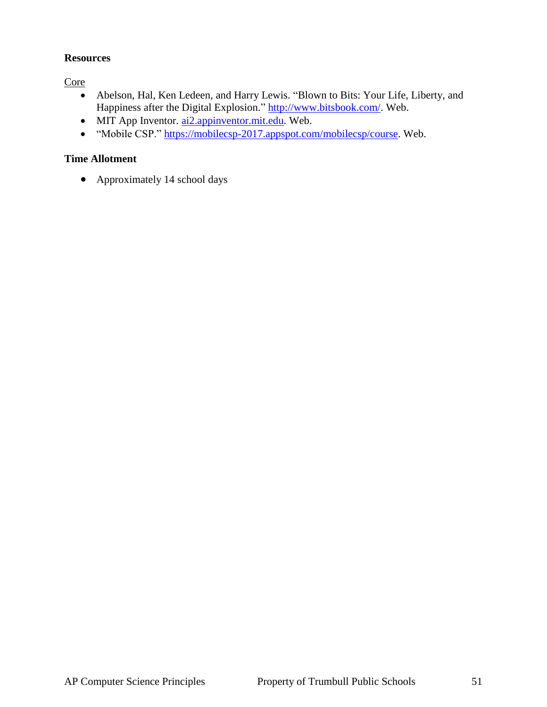#### **Resources**

**Core** 

- Abelson, Hal, Ken Ledeen, and Harry Lewis. "Blown to Bits: Your Life, Liberty, and Happiness after the Digital Explosion." [http://www.bitsbook.com/.](http://www.bitsbook.com/) Web.
- MIT App Inventor. [ai2.appinventor.mit.edu.](ai2.appinventor.mit.edu) Web.
- "Mobile CSP." [https://mobilecsp-2017.appspot.com/mobilecsp/course.](https://mobilecsp-2017.appspot.com/mobilecsp/course) Web.

#### **Time Allotment**

• Approximately 14 school days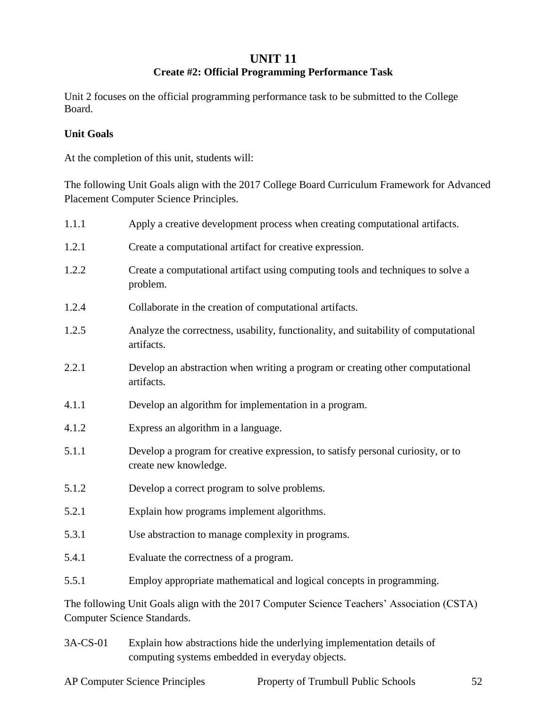#### **UNIT 11**

## **Create #2: Official Programming Performance Task**

Unit 2 focuses on the official programming performance task to be submitted to the College Board.

#### **Unit Goals**

At the completion of this unit, students will:

The following Unit Goals align with the 2017 College Board Curriculum Framework for Advanced Placement Computer Science Principles.

| 1.1.1                                                                                                                     | Apply a creative development process when creating computational artifacts.                              |  |
|---------------------------------------------------------------------------------------------------------------------------|----------------------------------------------------------------------------------------------------------|--|
| 1.2.1                                                                                                                     | Create a computational artifact for creative expression.                                                 |  |
| 1.2.2                                                                                                                     | Create a computational artifact using computing tools and techniques to solve a<br>problem.              |  |
| 1.2.4                                                                                                                     | Collaborate in the creation of computational artifacts.                                                  |  |
| 1.2.5                                                                                                                     | Analyze the correctness, usability, functionality, and suitability of computational<br>artifacts.        |  |
| 2.2.1                                                                                                                     | Develop an abstraction when writing a program or creating other computational<br>artifacts.              |  |
| 4.1.1                                                                                                                     | Develop an algorithm for implementation in a program.                                                    |  |
| 4.1.2                                                                                                                     | Express an algorithm in a language.                                                                      |  |
| 5.1.1                                                                                                                     | Develop a program for creative expression, to satisfy personal curiosity, or to<br>create new knowledge. |  |
| 5.1.2                                                                                                                     | Develop a correct program to solve problems.                                                             |  |
| 5.2.1                                                                                                                     | Explain how programs implement algorithms.                                                               |  |
| 5.3.1                                                                                                                     | Use abstraction to manage complexity in programs.                                                        |  |
| 5.4.1                                                                                                                     | Evaluate the correctness of a program.                                                                   |  |
| 5.5.1                                                                                                                     | Employ appropriate mathematical and logical concepts in programming.                                     |  |
| The following Unit Goals align with the 2017 Computer Science Teachers' Association (CSTA)<br>Computer Science Standards. |                                                                                                          |  |

3A-CS-01 Explain how abstractions hide the underlying implementation details of computing systems embedded in everyday objects.

| AP <sub>f</sub><br>Science<br>Computer<br>Principles | Trumbull Public<br>Schools<br>- OT<br>Property |  |
|------------------------------------------------------|------------------------------------------------|--|
|                                                      |                                                |  |
|                                                      |                                                |  |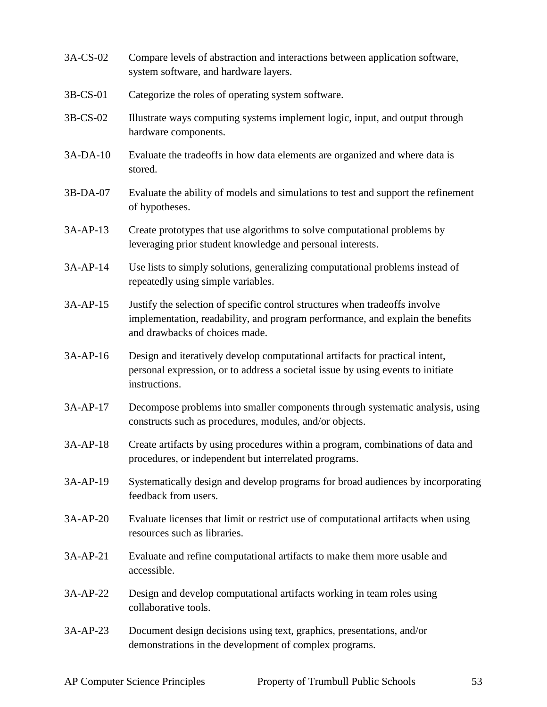- 3A-CS-02 Compare levels of abstraction and interactions between application software, system software, and hardware layers.
- 3B-CS-01 Categorize the roles of operating system software.
- 3B-CS-02 Illustrate ways computing systems implement logic, input, and output through hardware components.
- 3A-DA-10 Evaluate the tradeoffs in how data elements are organized and where data is stored.
- 3B-DA-07 Evaluate the ability of models and simulations to test and support the refinement of hypotheses.
- 3A-AP-13 Create prototypes that use algorithms to solve computational problems by leveraging prior student knowledge and personal interests.
- 3A-AP-14 Use lists to simply solutions, generalizing computational problems instead of repeatedly using simple variables.
- 3A-AP-15 Justify the selection of specific control structures when tradeoffs involve implementation, readability, and program performance, and explain the benefits and drawbacks of choices made.
- 3A-AP-16 Design and iteratively develop computational artifacts for practical intent, personal expression, or to address a societal issue by using events to initiate instructions.
- 3A-AP-17 Decompose problems into smaller components through systematic analysis, using constructs such as procedures, modules, and/or objects.
- 3A-AP-18 Create artifacts by using procedures within a program, combinations of data and procedures, or independent but interrelated programs.
- 3A-AP-19 Systematically design and develop programs for broad audiences by incorporating feedback from users.
- 3A-AP-20 Evaluate licenses that limit or restrict use of computational artifacts when using resources such as libraries.
- 3A-AP-21 Evaluate and refine computational artifacts to make them more usable and accessible.
- 3A-AP-22 Design and develop computational artifacts working in team roles using collaborative tools.
- 3A-AP-23 Document design decisions using text, graphics, presentations, and/or demonstrations in the development of complex programs.

AP Computer Science Principles Property of Trumbull Public Schools 53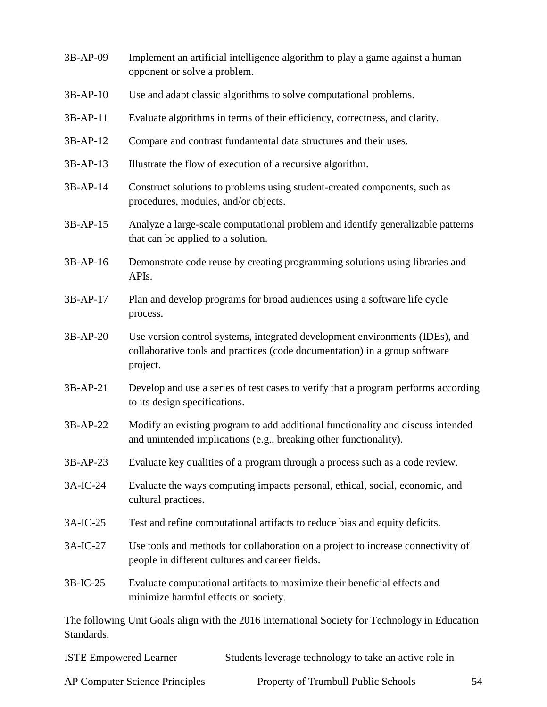| 3B-AP-09   | Implement an artificial intelligence algorithm to play a game against a human<br>opponent or solve a problem.                                                          |
|------------|------------------------------------------------------------------------------------------------------------------------------------------------------------------------|
| $3B-AP-10$ | Use and adapt classic algorithms to solve computational problems.                                                                                                      |
| $3B-AP-11$ | Evaluate algorithms in terms of their efficiency, correctness, and clarity.                                                                                            |
| 3B-AP-12   | Compare and contrast fundamental data structures and their uses.                                                                                                       |
| 3B-AP-13   | Illustrate the flow of execution of a recursive algorithm.                                                                                                             |
| 3B-AP-14   | Construct solutions to problems using student-created components, such as<br>procedures, modules, and/or objects.                                                      |
| 3B-AP-15   | Analyze a large-scale computational problem and identify generalizable patterns<br>that can be applied to a solution.                                                  |
| 3B-AP-16   | Demonstrate code reuse by creating programming solutions using libraries and<br>APIs.                                                                                  |
| 3B-AP-17   | Plan and develop programs for broad audiences using a software life cycle<br>process.                                                                                  |
| 3B-AP-20   | Use version control systems, integrated development environments (IDEs), and<br>collaborative tools and practices (code documentation) in a group software<br>project. |
| 3B-AP-21   | Develop and use a series of test cases to verify that a program performs according<br>to its design specifications.                                                    |
| 3B-AP-22   | Modify an existing program to add additional functionality and discuss intended<br>and unintended implications (e.g., breaking other functionality).                   |
| 3B-AP-23   | Evaluate key qualities of a program through a process such as a code review.                                                                                           |
| 3A-IC-24   | Evaluate the ways computing impacts personal, ethical, social, economic, and<br>cultural practices.                                                                    |
| 3A-IC-25   | Test and refine computational artifacts to reduce bias and equity deficits.                                                                                            |
| 3A-IC-27   | Use tools and methods for collaboration on a project to increase connectivity of<br>people in different cultures and career fields.                                    |
| 3B-IC-25   | Evaluate computational artifacts to maximize their beneficial effects and<br>minimize harmful effects on society.                                                      |
| Standards. | The following Unit Goals align with the 2016 International Society for Technology in Education                                                                         |

| <b>ISTE Empowered Learner</b>         | Students leverage technology to take an active role in |  |
|---------------------------------------|--------------------------------------------------------|--|
| <b>AP Computer Science Principles</b> | Property of Trumbull Public Schools                    |  |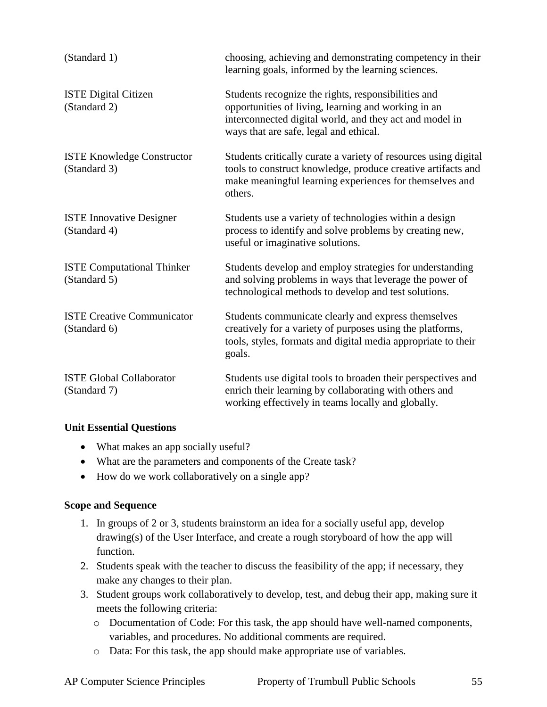| (Standard 1)                                      | choosing, achieving and demonstrating competency in their<br>learning goals, informed by the learning sciences.                                                                                                 |
|---------------------------------------------------|-----------------------------------------------------------------------------------------------------------------------------------------------------------------------------------------------------------------|
| <b>ISTE Digital Citizen</b><br>(Standard 2)       | Students recognize the rights, responsibilities and<br>opportunities of living, learning and working in an<br>interconnected digital world, and they act and model in<br>ways that are safe, legal and ethical. |
| <b>ISTE Knowledge Constructor</b><br>(Standard 3) | Students critically curate a variety of resources using digital<br>tools to construct knowledge, produce creative artifacts and<br>make meaningful learning experiences for themselves and<br>others.           |
| <b>ISTE Innovative Designer</b><br>(Standard 4)   | Students use a variety of technologies within a design<br>process to identify and solve problems by creating new,<br>useful or imaginative solutions.                                                           |
| <b>ISTE Computational Thinker</b><br>(Standard 5) | Students develop and employ strategies for understanding<br>and solving problems in ways that leverage the power of<br>technological methods to develop and test solutions.                                     |
| <b>ISTE Creative Communicator</b><br>(Standard 6) | Students communicate clearly and express themselves<br>creatively for a variety of purposes using the platforms,<br>tools, styles, formats and digital media appropriate to their<br>goals.                     |
| <b>ISTE Global Collaborator</b><br>(Standard 7)   | Students use digital tools to broaden their perspectives and<br>enrich their learning by collaborating with others and<br>working effectively in teams locally and globally.                                    |

#### **Unit Essential Questions**

- What makes an app socially useful?
- What are the parameters and components of the Create task?
- How do we work collaboratively on a single app?

#### **Scope and Sequence**

- 1. In groups of 2 or 3, students brainstorm an idea for a socially useful app, develop drawing(s) of the User Interface, and create a rough storyboard of how the app will function.
- 2. Students speak with the teacher to discuss the feasibility of the app; if necessary, they make any changes to their plan.
- 3. Student groups work collaboratively to develop, test, and debug their app, making sure it meets the following criteria:
	- o Documentation of Code: For this task, the app should have well-named components, variables, and procedures. No additional comments are required.
	- o Data: For this task, the app should make appropriate use of variables.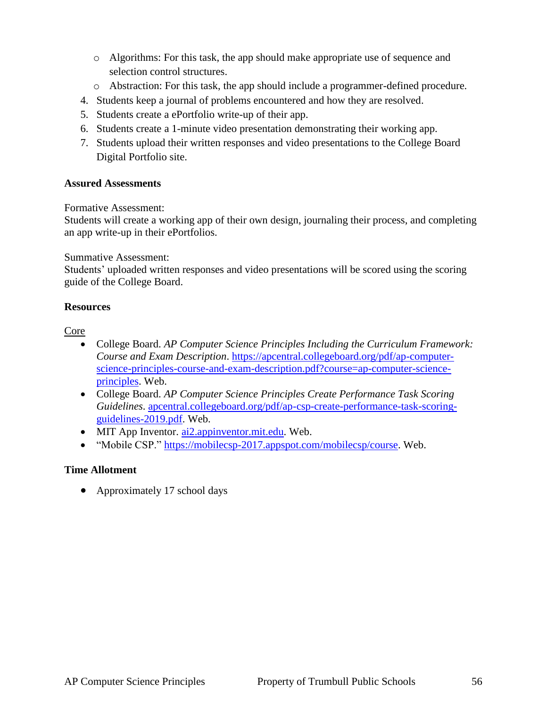- o Algorithms: For this task, the app should make appropriate use of sequence and selection control structures.
- o Abstraction: For this task, the app should include a programmer-defined procedure.
- 4. Students keep a journal of problems encountered and how they are resolved.
- 5. Students create a ePortfolio write-up of their app.
- 6. Students create a 1-minute video presentation demonstrating their working app.
- 7. Students upload their written responses and video presentations to the College Board Digital Portfolio site.

#### **Assured Assessments**

Formative Assessment:

Students will create a working app of their own design, journaling their process, and completing an app write-up in their ePortfolios.

Summative Assessment:

Students' uploaded written responses and video presentations will be scored using the scoring guide of the College Board.

#### **Resources**

Core

- College Board. *AP Computer Science Principles Including the Curriculum Framework: Course and Exam Description*. [https://apcentral.collegeboard.org/pdf/ap-computer](https://apcentral.collegeboard.org/pdf/ap-computer-science-principles-course-and-exam-description.pdf?course=ap-computer-science-principles)[science-principles-course-and-exam-description.pdf?course=ap-computer-science](https://apcentral.collegeboard.org/pdf/ap-computer-science-principles-course-and-exam-description.pdf?course=ap-computer-science-principles)[principles.](https://apcentral.collegeboard.org/pdf/ap-computer-science-principles-course-and-exam-description.pdf?course=ap-computer-science-principles) Web.
- College Board. *AP Computer Science Principles Create Performance Task Scoring Guidelines*. [apcentral.collegeboard.org/pdf/ap-csp-create-performance-task-scoring](apcentral.collegeboard.org/pdf/ap-csp-create-performance-task-scoring-guidelines-2019.pdf)[guidelines-2019.pdf.](apcentral.collegeboard.org/pdf/ap-csp-create-performance-task-scoring-guidelines-2019.pdf) Web.
- MIT App Inventor. [ai2.appinventor.mit.edu.](ai2.appinventor.mit.edu) Web.
- "Mobile CSP." [https://mobilecsp-2017.appspot.com/mobilecsp/course.](https://mobilecsp-2017.appspot.com/mobilecsp/course) Web.

#### **Time Allotment**

• Approximately 17 school days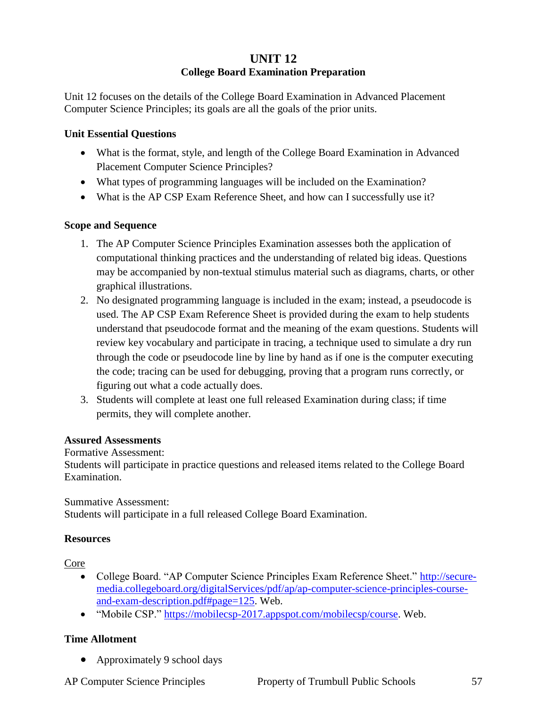## **UNIT 12 College Board Examination Preparation**

Unit 12 focuses on the details of the College Board Examination in Advanced Placement Computer Science Principles; its goals are all the goals of the prior units.

#### **Unit Essential Questions**

- What is the format, style, and length of the College Board Examination in Advanced Placement Computer Science Principles?
- What types of programming languages will be included on the Examination?
- What is the AP CSP Exam Reference Sheet, and how can I successfully use it?

#### **Scope and Sequence**

- 1. The AP Computer Science Principles Examination assesses both the application of computational thinking practices and the understanding of related big ideas. Questions may be accompanied by non-textual stimulus material such as diagrams, charts, or other graphical illustrations.
- 2. No designated programming language is included in the exam; instead, a pseudocode is used. The AP CSP Exam Reference Sheet is provided during the exam to help students understand that pseudocode format and the meaning of the exam questions. Students will review key vocabulary and participate in tracing, a technique used to simulate a dry run through the code or pseudocode line by line by hand as if one is the computer executing the code; tracing can be used for debugging, proving that a program runs correctly, or figuring out what a code actually does.
- 3. Students will complete at least one full released Examination during class; if time permits, they will complete another.

#### **Assured Assessments**

#### Formative Assessment:

Students will participate in practice questions and released items related to the College Board Examination.

Summative Assessment: Students will participate in a full released College Board Examination.

#### **Resources**

Core

- College Board. "AP Computer Science Principles Exam Reference Sheet." [http://secure](http://secure-media.collegeboard.org/digitalServices/pdf/ap/ap-computer-science-principles-course-and-exam-description.pdf#page=125)[media.collegeboard.org/digitalServices/pdf/ap/ap-computer-science-principles-course](http://secure-media.collegeboard.org/digitalServices/pdf/ap/ap-computer-science-principles-course-and-exam-description.pdf#page=125)[and-exam-description.pdf#page=125.](http://secure-media.collegeboard.org/digitalServices/pdf/ap/ap-computer-science-principles-course-and-exam-description.pdf#page=125) Web.
- "Mobile CSP." [https://mobilecsp-2017.appspot.com/mobilecsp/course.](https://mobilecsp-2017.appspot.com/mobilecsp/course) Web.

#### **Time Allotment**

• Approximately 9 school days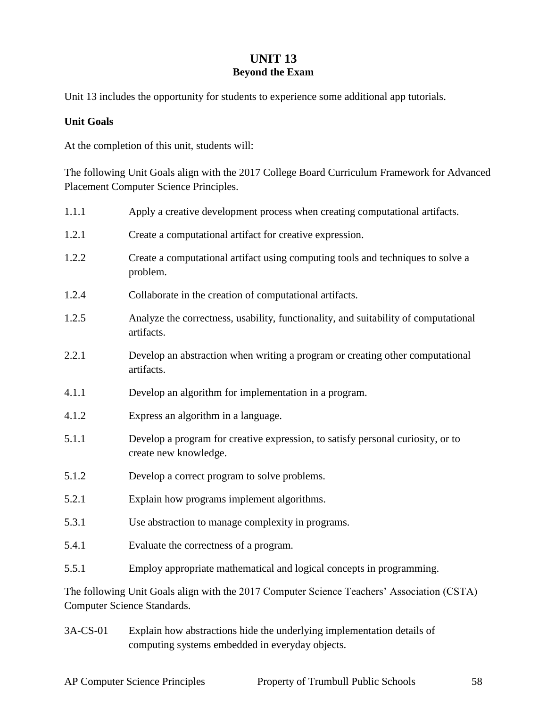## **UNIT 13 Beyond the Exam**

Unit 13 includes the opportunity for students to experience some additional app tutorials.

#### **Unit Goals**

At the completion of this unit, students will:

The following Unit Goals align with the 2017 College Board Curriculum Framework for Advanced Placement Computer Science Principles.

| 1.1.1                                                                                                                     | Apply a creative development process when creating computational artifacts.                              |  |
|---------------------------------------------------------------------------------------------------------------------------|----------------------------------------------------------------------------------------------------------|--|
| 1.2.1                                                                                                                     | Create a computational artifact for creative expression.                                                 |  |
| 1.2.2                                                                                                                     | Create a computational artifact using computing tools and techniques to solve a<br>problem.              |  |
| 1.2.4                                                                                                                     | Collaborate in the creation of computational artifacts.                                                  |  |
| 1.2.5                                                                                                                     | Analyze the correctness, usability, functionality, and suitability of computational<br>artifacts.        |  |
| 2.2.1                                                                                                                     | Develop an abstraction when writing a program or creating other computational<br>artifacts.              |  |
| 4.1.1                                                                                                                     | Develop an algorithm for implementation in a program.                                                    |  |
| 4.1.2                                                                                                                     | Express an algorithm in a language.                                                                      |  |
| 5.1.1                                                                                                                     | Develop a program for creative expression, to satisfy personal curiosity, or to<br>create new knowledge. |  |
| 5.1.2                                                                                                                     | Develop a correct program to solve problems.                                                             |  |
| 5.2.1                                                                                                                     | Explain how programs implement algorithms.                                                               |  |
| 5.3.1                                                                                                                     | Use abstraction to manage complexity in programs.                                                        |  |
| 5.4.1                                                                                                                     | Evaluate the correctness of a program.                                                                   |  |
| 5.5.1                                                                                                                     | Employ appropriate mathematical and logical concepts in programming.                                     |  |
| The following Unit Goals align with the 2017 Computer Science Teachers' Association (CSTA)<br>Computer Science Standards. |                                                                                                          |  |

3A-CS-01 Explain how abstractions hide the underlying implementation details of computing systems embedded in everyday objects.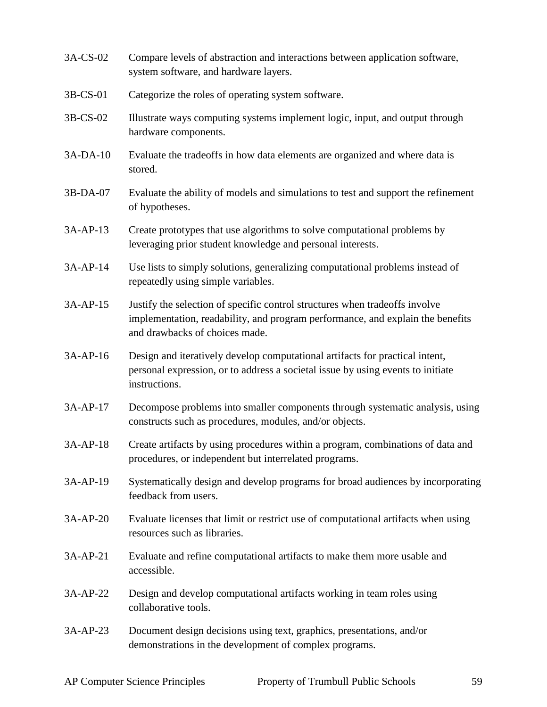- 3A-CS-02 Compare levels of abstraction and interactions between application software, system software, and hardware layers.
- 3B-CS-01 Categorize the roles of operating system software.
- 3B-CS-02 Illustrate ways computing systems implement logic, input, and output through hardware components.
- 3A-DA-10 Evaluate the tradeoffs in how data elements are organized and where data is stored.
- 3B-DA-07 Evaluate the ability of models and simulations to test and support the refinement of hypotheses.
- 3A-AP-13 Create prototypes that use algorithms to solve computational problems by leveraging prior student knowledge and personal interests.
- 3A-AP-14 Use lists to simply solutions, generalizing computational problems instead of repeatedly using simple variables.
- 3A-AP-15 Justify the selection of specific control structures when tradeoffs involve implementation, readability, and program performance, and explain the benefits and drawbacks of choices made.
- 3A-AP-16 Design and iteratively develop computational artifacts for practical intent, personal expression, or to address a societal issue by using events to initiate instructions.
- 3A-AP-17 Decompose problems into smaller components through systematic analysis, using constructs such as procedures, modules, and/or objects.
- 3A-AP-18 Create artifacts by using procedures within a program, combinations of data and procedures, or independent but interrelated programs.
- 3A-AP-19 Systematically design and develop programs for broad audiences by incorporating feedback from users.
- 3A-AP-20 Evaluate licenses that limit or restrict use of computational artifacts when using resources such as libraries.
- 3A-AP-21 Evaluate and refine computational artifacts to make them more usable and accessible.
- 3A-AP-22 Design and develop computational artifacts working in team roles using collaborative tools.
- 3A-AP-23 Document design decisions using text, graphics, presentations, and/or demonstrations in the development of complex programs.

AP Computer Science Principles Property of Trumbull Public Schools 59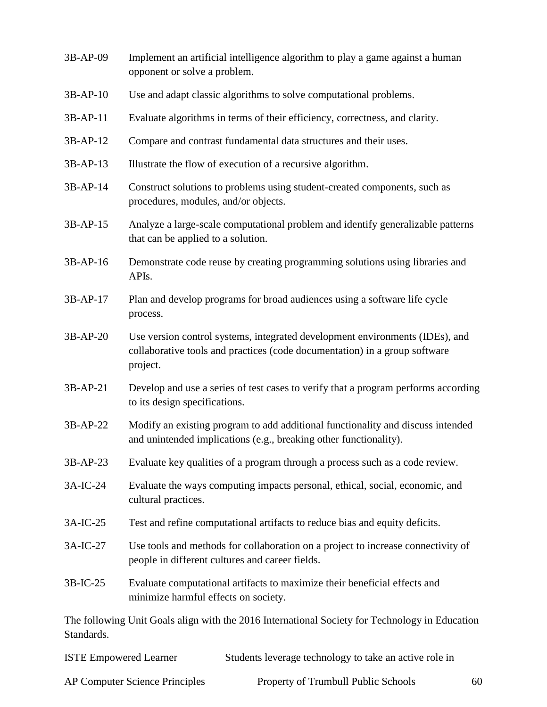| 3B-AP-09   | Implement an artificial intelligence algorithm to play a game against a human<br>opponent or solve a problem.                                                          |
|------------|------------------------------------------------------------------------------------------------------------------------------------------------------------------------|
| $3B-AP-10$ | Use and adapt classic algorithms to solve computational problems.                                                                                                      |
| 3B-AP-11   | Evaluate algorithms in terms of their efficiency, correctness, and clarity.                                                                                            |
| 3B-AP-12   | Compare and contrast fundamental data structures and their uses.                                                                                                       |
| 3B-AP-13   | Illustrate the flow of execution of a recursive algorithm.                                                                                                             |
| 3B-AP-14   | Construct solutions to problems using student-created components, such as<br>procedures, modules, and/or objects.                                                      |
| 3B-AP-15   | Analyze a large-scale computational problem and identify generalizable patterns<br>that can be applied to a solution.                                                  |
| 3B-AP-16   | Demonstrate code reuse by creating programming solutions using libraries and<br>APIs.                                                                                  |
| 3B-AP-17   | Plan and develop programs for broad audiences using a software life cycle<br>process.                                                                                  |
| 3B-AP-20   | Use version control systems, integrated development environments (IDEs), and<br>collaborative tools and practices (code documentation) in a group software<br>project. |
| 3B-AP-21   | Develop and use a series of test cases to verify that a program performs according<br>to its design specifications.                                                    |
| 3B-AP-22   | Modify an existing program to add additional functionality and discuss intended<br>and unintended implications (e.g., breaking other functionality).                   |
| $3B-AP-23$ | Evaluate key qualities of a program through a process such as a code review.                                                                                           |
| 3A-IC-24   | Evaluate the ways computing impacts personal, ethical, social, economic, and<br>cultural practices.                                                                    |
| 3A-IC-25   | Test and refine computational artifacts to reduce bias and equity deficits.                                                                                            |
| 3A-IC-27   | Use tools and methods for collaboration on a project to increase connectivity of<br>people in different cultures and career fields.                                    |
| 3B-IC-25   | Evaluate computational artifacts to maximize their beneficial effects and<br>minimize harmful effects on society.                                                      |
| Standards. | The following Unit Goals align with the 2016 International Society for Technology in Education                                                                         |

| <b>ISTE Empowered Learner</b>         | Students leverage technology to take an active role in |    |
|---------------------------------------|--------------------------------------------------------|----|
| <b>AP Computer Science Principles</b> | Property of Trumbull Public Schools                    | 60 |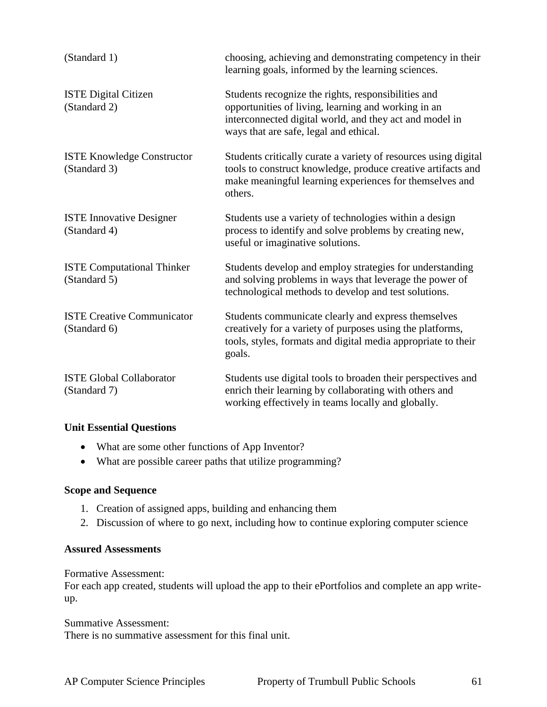| (Standard 1)                                      | choosing, achieving and demonstrating competency in their<br>learning goals, informed by the learning sciences.                                                                                                 |
|---------------------------------------------------|-----------------------------------------------------------------------------------------------------------------------------------------------------------------------------------------------------------------|
| <b>ISTE Digital Citizen</b><br>(Standard 2)       | Students recognize the rights, responsibilities and<br>opportunities of living, learning and working in an<br>interconnected digital world, and they act and model in<br>ways that are safe, legal and ethical. |
| <b>ISTE Knowledge Constructor</b><br>(Standard 3) | Students critically curate a variety of resources using digital<br>tools to construct knowledge, produce creative artifacts and<br>make meaningful learning experiences for themselves and<br>others.           |
| <b>ISTE Innovative Designer</b><br>(Standard 4)   | Students use a variety of technologies within a design<br>process to identify and solve problems by creating new,<br>useful or imaginative solutions.                                                           |
| <b>ISTE Computational Thinker</b><br>(Standard 5) | Students develop and employ strategies for understanding<br>and solving problems in ways that leverage the power of<br>technological methods to develop and test solutions.                                     |
| <b>ISTE Creative Communicator</b><br>(Standard 6) | Students communicate clearly and express themselves<br>creatively for a variety of purposes using the platforms,<br>tools, styles, formats and digital media appropriate to their<br>goals.                     |
| <b>ISTE Global Collaborator</b><br>(Standard 7)   | Students use digital tools to broaden their perspectives and<br>enrich their learning by collaborating with others and<br>working effectively in teams locally and globally.                                    |

#### **Unit Essential Questions**

- What are some other functions of App Inventor?
- What are possible career paths that utilize programming?

#### **Scope and Sequence**

- 1. Creation of assigned apps, building and enhancing them
- 2. Discussion of where to go next, including how to continue exploring computer science

#### **Assured Assessments**

Formative Assessment:

For each app created, students will upload the app to their ePortfolios and complete an app writeup.

Summative Assessment: There is no summative assessment for this final unit.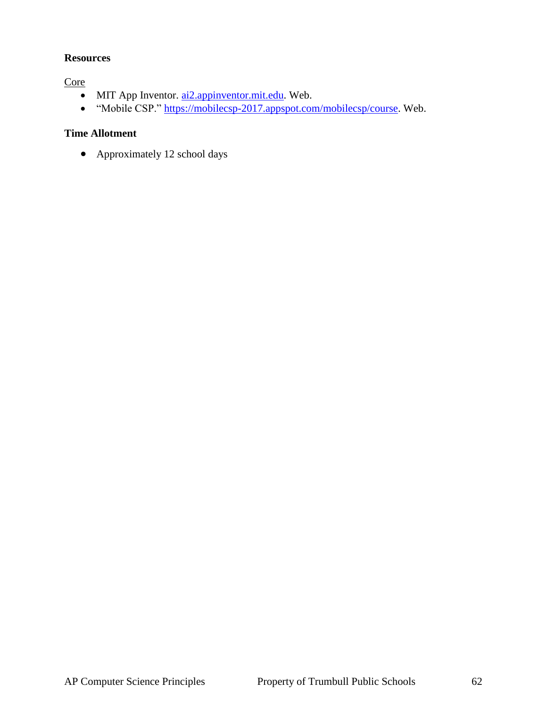#### **Resources**

**Core** 

- $\bullet$  MIT App Inventor.  $\frac{\text{ai2.} \text{approxentor.mit.edu}}{\text{ai2.} \text{approxentor.mit.edu}}$ . Web.
- "Mobile CSP." [https://mobilecsp-2017.appspot.com/mobilecsp/course.](https://mobilecsp-2017.appspot.com/mobilecsp/course) Web.

## **Time Allotment**

• Approximately 12 school days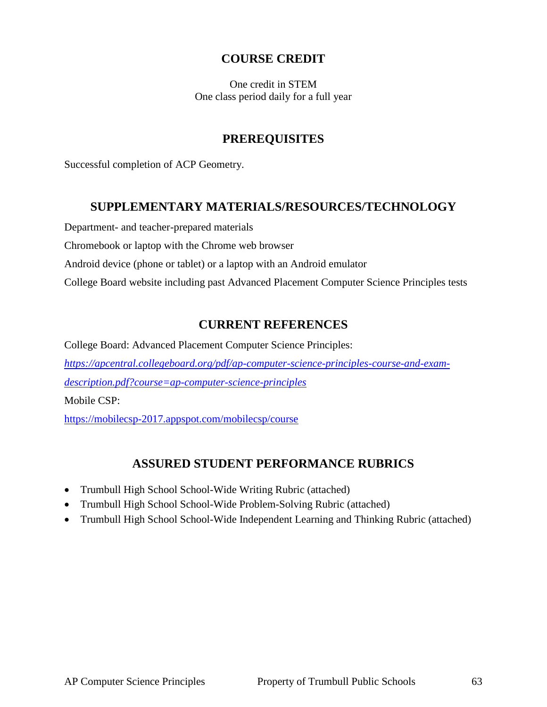## **COURSE CREDIT**

One credit in STEM One class period daily for a full year

## **PREREQUISITES**

Successful completion of ACP Geometry.

#### **SUPPLEMENTARY MATERIALS/RESOURCES/TECHNOLOGY**

Department- and teacher-prepared materials

Chromebook or laptop with the Chrome web browser

Android device (phone or tablet) or a laptop with an Android emulator

College Board website including past Advanced Placement Computer Science Principles tests

## **CURRENT REFERENCES**

College Board: Advanced Placement Computer Science Principles: *[https://apcentral.collegeboard.org/pdf/ap-computer-science-principles-course-and-exam](https://apcentral.collegeboard.org/pdf/ap-computer-science-principles-course-and-exam-description.pdf?course=ap-computer-science-principles)[description.pdf?course=ap-computer-science-principles](https://apcentral.collegeboard.org/pdf/ap-computer-science-principles-course-and-exam-description.pdf?course=ap-computer-science-principles)* Mobile CSP: <https://mobilecsp-2017.appspot.com/mobilecsp/course>

## **ASSURED STUDENT PERFORMANCE RUBRICS**

- Trumbull High School School-Wide Writing Rubric (attached)
- Trumbull High School School-Wide Problem-Solving Rubric (attached)
- Trumbull High School School-Wide Independent Learning and Thinking Rubric (attached)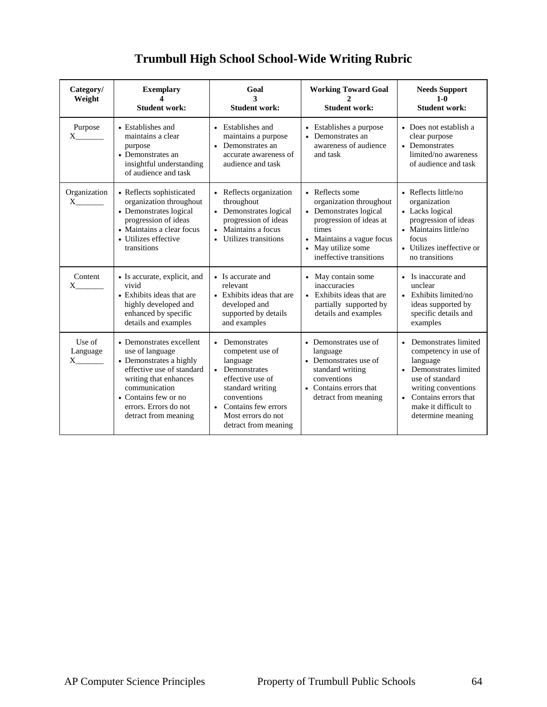## **Trumbull High School School-Wide Writing Rubric**

| Category/<br>Weight      | <b>Exemplary</b><br><b>Student work:</b>                                                                                                                                                                               | Goal<br>3<br><b>Student work:</b>                                                                                                                                                              | <b>Working Toward Goal</b><br><b>Student work:</b>                                                                                                                                                | <b>Needs Support</b><br>$1-0$<br><b>Student work:</b>                                                                                                                                                 |
|--------------------------|------------------------------------------------------------------------------------------------------------------------------------------------------------------------------------------------------------------------|------------------------------------------------------------------------------------------------------------------------------------------------------------------------------------------------|---------------------------------------------------------------------------------------------------------------------------------------------------------------------------------------------------|-------------------------------------------------------------------------------------------------------------------------------------------------------------------------------------------------------|
| Purpose<br>X.            | • Establishes and<br>maintains a clear<br>purpose<br>• Demonstrates an<br>insightful understanding<br>of audience and task                                                                                             | • Establishes and<br>maintains a purpose<br>Demonstrates an<br>$\bullet$<br>accurate awareness of<br>audience and task                                                                         | • Establishes a purpose<br>Demonstrates an<br>awareness of audience<br>and task                                                                                                                   | • Does not establish a<br>clear purpose<br>• Demonstrates<br>limited/no awareness<br>of audience and task                                                                                             |
| Organization<br>$X_{-}$  | • Reflects sophisticated<br>organization throughout<br>• Demonstrates logical<br>progression of ideas<br>• Maintains a clear focus<br>• Utilizes effective<br>transitions                                              | • Reflects organization<br>throughout<br>• Demonstrates logical<br>progression of ideas<br>Maintains a focus<br>$\bullet$<br>Utilizes transitions<br>$\bullet$                                 | • Reflects some<br>organization throughout<br>• Demonstrates logical<br>progression of ideas at<br>times<br>• Maintains a vague focus<br>May utilize some<br>$\bullet$<br>ineffective transitions | • Reflects little/no<br>organization<br>• Lacks logical<br>progression of ideas<br>• Maintains little/no<br>focus<br>• Utilizes ineffective or<br>no transitions                                      |
| Content<br>X.            | • Is accurate, explicit, and<br>vivid<br>• Exhibits ideas that are<br>highly developed and<br>enhanced by specific<br>details and examples                                                                             | • Is accurate and<br>relevant<br>• Exhibits ideas that are<br>developed and<br>supported by details<br>and examples                                                                            | • May contain some<br>inaccuracies<br>• Exhibits ideas that are<br>partially supported by<br>details and examples                                                                                 | • Is inaccurate and<br>unclear<br>• Exhibits limited/no<br>ideas supported by<br>specific details and<br>examples                                                                                     |
| Use of<br>Language<br>X. | • Demonstrates excellent<br>use of language<br>• Demonstrates a highly<br>effective use of standard<br>writing that enhances<br>communication<br>• Contains few or no<br>errors. Errors do not<br>detract from meaning | • Demonstrates<br>competent use of<br>language<br>• Demonstrates<br>effective use of<br>standard writing<br>conventions<br>• Contains few errors<br>Most errors do not<br>detract from meaning | • Demonstrates use of<br>language<br>• Demonstrates use of<br>standard writing<br>conventions<br>• Contains errors that<br>detract from meaning                                                   | • Demonstrates limited<br>competency in use of<br>language<br>• Demonstrates limited<br>use of standard<br>writing conventions<br>• Contains errors that<br>make it difficult to<br>determine meaning |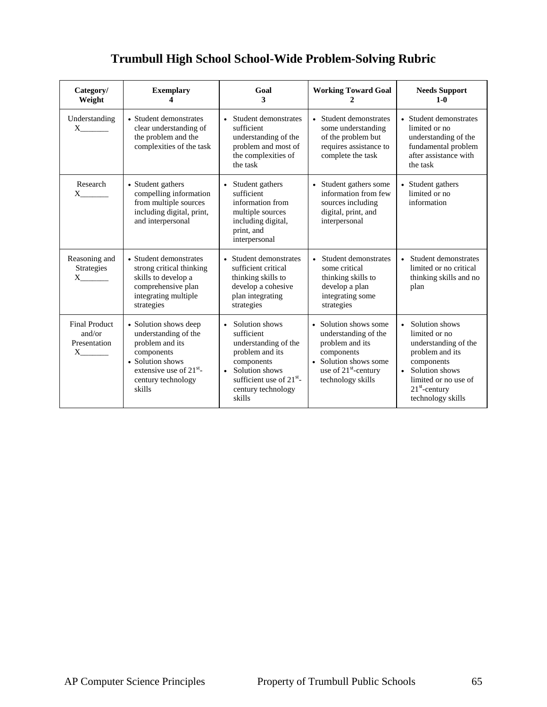## **Trumbull High School School-Wide Problem-Solving Rubric**

| Category/<br>Weight                                        | <b>Exemplary</b>                                                                                                                                                   | Goal<br>3                                                                                                                                                                                                 | <b>Working Toward Goal</b><br>2                                                                                                                                  | <b>Needs Support</b><br>$1-0$                                                                                                                                                  |
|------------------------------------------------------------|--------------------------------------------------------------------------------------------------------------------------------------------------------------------|-----------------------------------------------------------------------------------------------------------------------------------------------------------------------------------------------------------|------------------------------------------------------------------------------------------------------------------------------------------------------------------|--------------------------------------------------------------------------------------------------------------------------------------------------------------------------------|
| Understanding<br>$X \qquad \qquad$                         | • Student demonstrates<br>clear understanding of<br>the problem and the<br>complexities of the task                                                                | Student demonstrates<br>sufficient<br>understanding of the<br>problem and most of<br>the complexities of<br>the task                                                                                      | • Student demonstrates<br>some understanding<br>of the problem but<br>requires assistance to<br>complete the task                                                | • Student demonstrates<br>limited or no<br>understanding of the<br>fundamental problem<br>after assistance with<br>the task                                                    |
| Research<br>$X \qquad \qquad$                              | • Student gathers<br>compelling information<br>from multiple sources<br>including digital, print,<br>and interpersonal                                             | Student gathers<br>sufficient<br>information from<br>multiple sources<br>including digital,<br>print, and<br>interpersonal                                                                                | • Student gathers some<br>information from few<br>sources including<br>digital, print, and<br>interpersonal                                                      | • Student gathers<br>limited or no<br>information                                                                                                                              |
| Reasoning and<br>Strategies<br>$X \sim$                    | • Student demonstrates<br>strong critical thinking<br>skills to develop a<br>comprehensive plan<br>integrating multiple<br>strategies                              | • Student demonstrates<br>sufficient critical<br>thinking skills to<br>develop a cohesive<br>plan integrating<br>strategies                                                                               | Student demonstrates<br>$\bullet$<br>some critical<br>thinking skills to<br>develop a plan<br>integrating some<br>strategies                                     | • Student demonstrates<br>limited or no critical<br>thinking skills and no<br>plan                                                                                             |
| <b>Final Product</b><br>and/or<br>Presentation<br>$X \sim$ | • Solution shows deep<br>understanding of the<br>problem and its<br>components<br>• Solution shows<br>extensive use of $21^{st}$ -<br>century technology<br>skills | Solution shows<br>$\bullet$<br>sufficient<br>understanding of the<br>problem and its<br>components<br>Solution shows<br>$\bullet$<br>sufficient use of 21 <sup>st</sup> -<br>century technology<br>skills | • Solution shows some<br>understanding of the<br>problem and its<br>components<br>• Solution shows some<br>use of 21 <sup>st</sup> -century<br>technology skills | • Solution shows<br>limited or no<br>understanding of the<br>problem and its<br>components<br>• Solution shows<br>limited or no use of<br>$21st$ -century<br>technology skills |